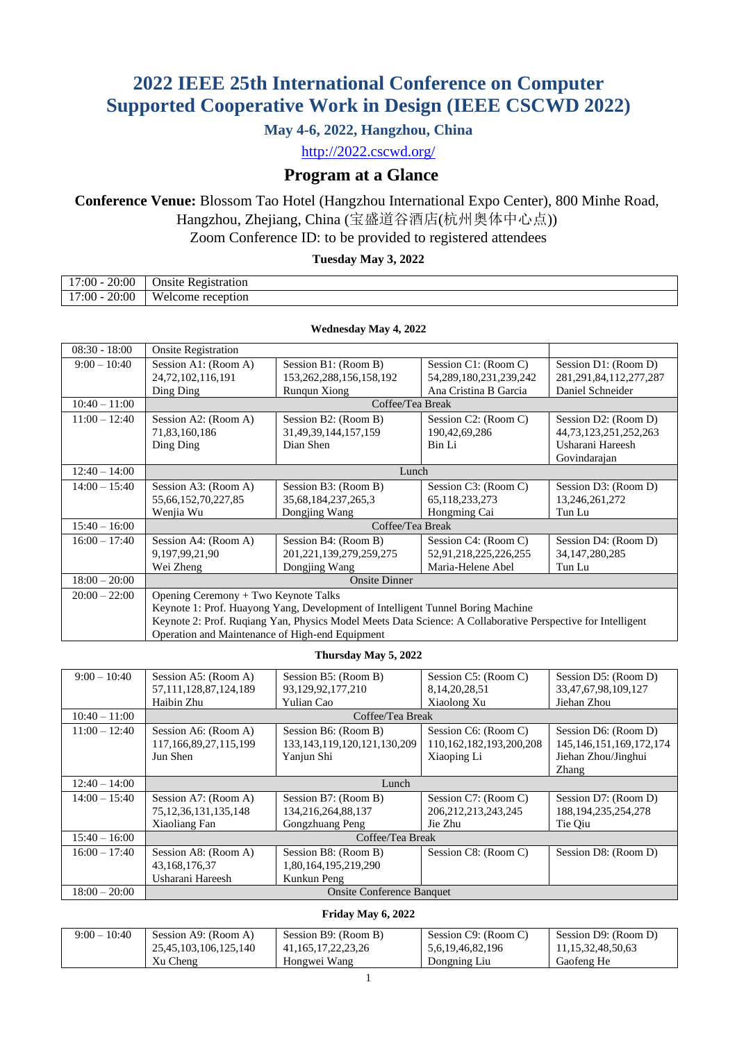# **2022 IEEE 25th International Conference on Computer Supported Cooperative Work in Design (IEEE CSCWD 2022)**

## **May 4-6, 2022, Hangzhou, China**

<http://2022.cscwd.org/>

## **Program at a Glance**

## **Conference Venue:** Blossom Tao Hotel (Hangzhou International Expo Center), 800 Minhe Road, Hangzhou, Zhejiang, China (宝盛道谷酒店(杭州奥体中心点))

Zoom Conference ID: to be provided to registered attendees

#### **Tuesday May 3, 2022**

| 20:00<br>':00<br>1 <sub>7</sub> | Registration<br>Jnsite                              |
|---------------------------------|-----------------------------------------------------|
| 20:00<br>17<br>:00              | Welcome<br>reception<br>$\sim$ $\sim$ $\sim$ $\sim$ |

**Wednesday May 4, 2022**

| $08:30 - 18:00$ | <b>Onsite Registration</b>                      |                                                                                                             |                             |                             |
|-----------------|-------------------------------------------------|-------------------------------------------------------------------------------------------------------------|-----------------------------|-----------------------------|
| $9:00 - 10:40$  | Session A1: (Room A)                            | Session B1: (Room B)                                                                                        | Session C1: (Room C)        | Session D1: (Room D)        |
|                 | 24, 72, 102, 116, 191                           | 153, 262, 288, 156, 158, 192                                                                                | 54, 289, 180, 231, 239, 242 | 281, 291, 84, 112, 277, 287 |
|                 | Ding Ding                                       | Rungun Xiong                                                                                                | Ana Cristina B Garcia       | Daniel Schneider            |
| $10:40 - 11:00$ |                                                 | Coffee/Tea Break                                                                                            |                             |                             |
| $11:00 - 12:40$ | Session A2: (Room A)                            | Session B2: (Room B)                                                                                        | Session C2: (Room C)        | Session D2: (Room D)        |
|                 | 71,83,160,186                                   | 31,49,39,144,157,159                                                                                        | 190,42,69,286               | 44, 73, 123, 251, 252, 263  |
|                 | Ding Ding                                       | Dian Shen                                                                                                   | Bin Li                      | Usharani Hareesh            |
|                 |                                                 |                                                                                                             |                             | Govindarajan                |
| $12:40 - 14:00$ | Lunch                                           |                                                                                                             |                             |                             |
| $14:00 - 15:40$ | Session A3: (Room A)                            | Session B3: (Room B)                                                                                        | Session C3: (Room C)        | Session D3: (Room D)        |
|                 | 55,66,152,70,227,85                             | 35,68,184,237,265,3                                                                                         | 65,118,233,273              | 13,246,261,272              |
|                 | Wenjia Wu                                       | Dongjing Wang                                                                                               | Hongming Cai                | Tun Lu                      |
| $15:40 - 16:00$ | Coffee/Tea Break                                |                                                                                                             |                             |                             |
| $16:00 - 17:40$ | Session A4: (Room A)                            | Session B4: (Room B)                                                                                        | Session C4: (Room C)        | Session D4: (Room D)        |
|                 | 9,197,99,21,90                                  | 201, 221, 139, 279, 259, 275                                                                                | 52,91,218,225,226,255       | 34, 147, 280, 285           |
|                 | Wei Zheng                                       | Dongjing Wang                                                                                               | Maria-Helene Abel           | Tun Lu                      |
| $18:00 - 20:00$ |                                                 | <b>Onsite Dinner</b>                                                                                        |                             |                             |
| $20:00 - 22:00$ | Opening Ceremony + Two Keynote Talks            |                                                                                                             |                             |                             |
|                 |                                                 | Keynote 1: Prof. Huayong Yang, Development of Intelligent Tunnel Boring Machine                             |                             |                             |
|                 |                                                 | Keynote 2: Prof. Ruqiang Yan, Physics Model Meets Data Science: A Collaborative Perspective for Intelligent |                             |                             |
|                 | Operation and Maintenance of High-end Equipment |                                                                                                             |                             |                             |

#### **Thursday May 5, 2022**

| $9:00 - 10:40$  | Session A5: (Room A)       | Session B5: (Room B)              | Session C5: (Room C)    | Session D5: (Room D)         |
|-----------------|----------------------------|-----------------------------------|-------------------------|------------------------------|
|                 | 57, 111, 128, 87, 124, 189 | 93,129,92,177,210                 | 8, 14, 20, 28, 51       | 33, 47, 67, 98, 109, 127     |
|                 | Haibin Zhu                 | Yulian Cao                        | Xiaolong Xu             | Jiehan Zhou                  |
| $10:40 - 11:00$ |                            | Coffee/Tea Break                  |                         |                              |
| $11:00 - 12:40$ | Session A6: (Room A)       | Session B6: (Room B)              | Session C6: (Room C)    | Session D6: (Room D)         |
|                 | 117,166,89,27,115,199      | 133, 143, 119, 120, 121, 130, 209 | 110,162,182,193,200,208 | 145, 146, 151, 169, 172, 174 |
|                 | Jun Shen                   | Yanjun Shi                        | Xiaoping Li             | Jiehan Zhou/Jinghui          |
|                 |                            |                                   |                         | Zhang                        |
| $12:40 - 14:00$ |                            | Lunch                             |                         |                              |
| $14:00 - 15:40$ | Session A7: (Room A)       | Session B7: (Room B)              | Session C7: (Room C)    | Session D7: (Room D)         |
|                 | 75, 12, 36, 131, 135, 148  | 134,216,264,88,137                | 206, 212, 213, 243, 245 | 188, 194, 235, 254, 278      |
|                 | Xiaoliang Fan              | <b>Gongzhuang Peng</b>            | Jie Zhu                 | Tie Oiu                      |
| $15:40 - 16:00$ |                            | Coffee/Tea Break                  |                         |                              |
| $16:00 - 17:40$ | Session A8: (Room A)       | Session B8: (Room B)              | Session C8: (Room C)    | Session D8: (Room D)         |
|                 | 43,168,176,37              | 1,80,164,195,219,290              |                         |                              |
|                 | Usharani Hareesh           | Kunkun Peng                       |                         |                              |
| $18:00 - 20:00$ |                            | <b>Onsite Conference Banquet</b>  |                         |                              |

#### **Friday May 6, 2022**

| $9:00 - 10:40$ | Session A9: (Room A)  | Session B9: (Room B)    | Session C9: (Room C) | Session D9: (Room D)   |
|----------------|-----------------------|-------------------------|----------------------|------------------------|
|                | 25,45,103,106,125,140 | 41, 165, 17, 22, 23, 26 | 5,6,19,46,82,196     | 11, 15, 32, 48, 50, 63 |
|                | Xu Cheng              | Hongwei Wang            | Dongning Liu         | Gaofeng He             |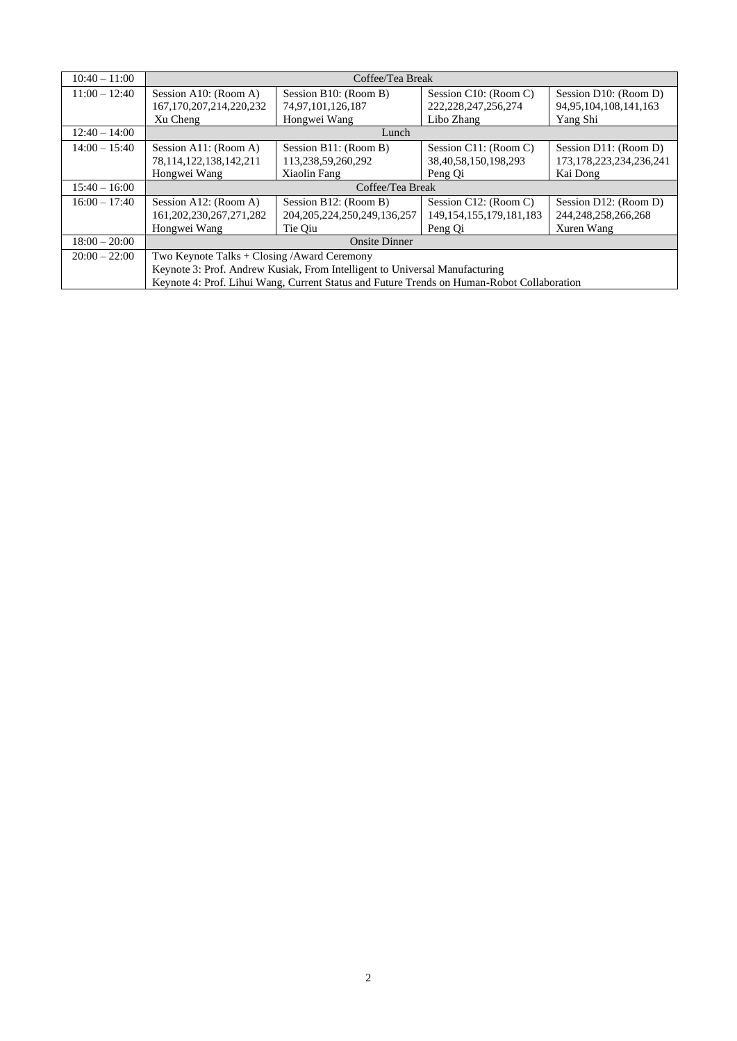| $10:40 - 11:00$ |                                                                             | Coffee/Tea Break                                                                           |                              |                              |
|-----------------|-----------------------------------------------------------------------------|--------------------------------------------------------------------------------------------|------------------------------|------------------------------|
| $11:00 - 12:40$ | Session A10: (Room A)                                                       | Session B10: (Room B)                                                                      | Session C10: (Room C)        | Session D10: (Room D)        |
|                 | 167, 170, 207, 214, 220, 232                                                | 74,97,101,126,187                                                                          | 222, 228, 247, 256, 274      | 94, 95, 104, 108, 141, 163   |
|                 | Xu Cheng                                                                    | Hongwei Wang                                                                               | Libo Zhang                   | Yang Shi                     |
| $12:40 - 14:00$ |                                                                             | Lunch                                                                                      |                              |                              |
| $14:00 - 15:40$ | Session A11: (Room A)                                                       | Session B11: (Room B)                                                                      | Session C11: (Room C)        | Session D11: (Room D)        |
|                 | 78, 114, 122, 138, 142, 211                                                 | 113,238,59,260,292                                                                         | 38,40,58,150,198,293         | 173, 178, 223, 234, 236, 241 |
|                 | Hongwei Wang                                                                | Xiaolin Fang                                                                               | Peng Qi                      | Kai Dong                     |
| $15:40 - 16:00$ |                                                                             | Coffee/Tea Break                                                                           |                              |                              |
| $16:00 - 17:40$ | Session A12: (Room A)                                                       | Session B12: (Room B)                                                                      | Session C12: (Room C)        | Session D12: (Room D)        |
|                 | 161, 202, 230, 267, 271, 282                                                | 204, 205, 224, 250, 249, 136, 257                                                          | 149, 154, 155, 179, 181, 183 | 244, 248, 258, 266, 268      |
|                 | Hongwei Wang                                                                | Tie Oiu                                                                                    | Peng Qi                      | Xuren Wang                   |
| $18:00 - 20:00$ |                                                                             | <b>Onsite Dinner</b>                                                                       |                              |                              |
| $20:00 - 22:00$ | Two Keynote Talks + $\text{Closing}/\text{Award}$ Ceremony                  |                                                                                            |                              |                              |
|                 | Keynote 3: Prof. Andrew Kusiak, From Intelligent to Universal Manufacturing |                                                                                            |                              |                              |
|                 |                                                                             | Keynote 4: Prof. Lihui Wang, Current Status and Future Trends on Human-Robot Collaboration |                              |                              |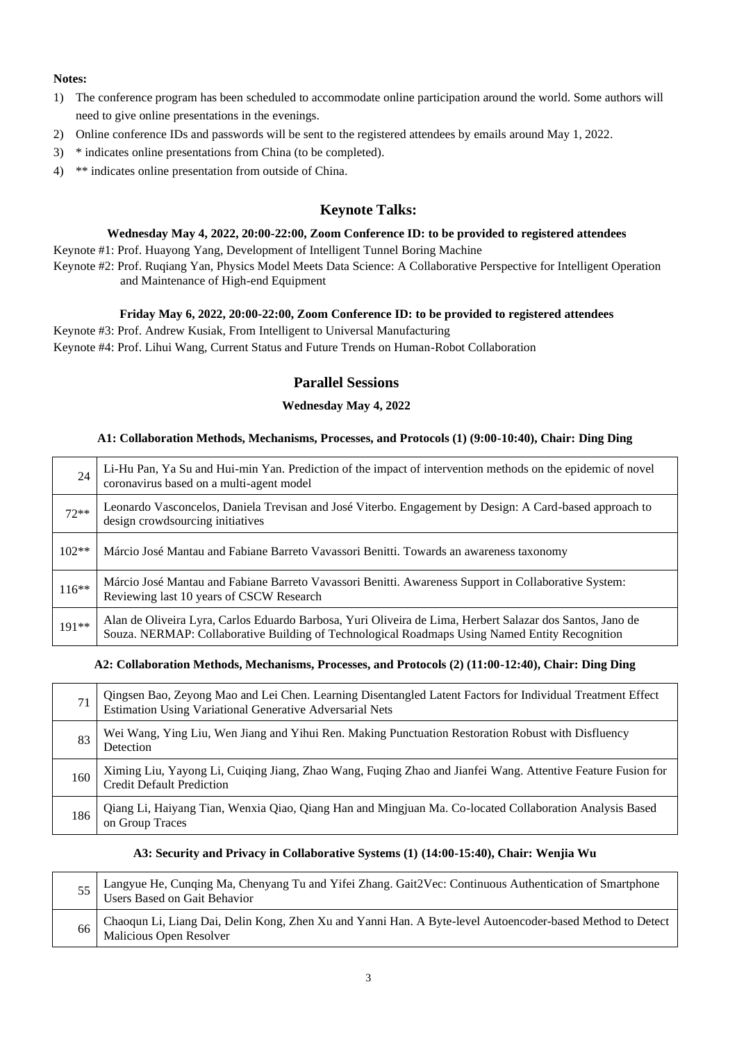#### **Notes:**

- 1) The conference program has been scheduled to accommodate online participation around the world. Some authors will need to give online presentations in the evenings.
- 2) Online conference IDs and passwords will be sent to the registered attendees by emails around May 1, 2022.
- 3) \* indicates online presentations from China (to be completed).
- 4) \*\* indicates online presentation from outside of China.

## **Keynote Talks:**

#### **Wednesday May 4, 2022, 20:00-22:00, Zoom Conference ID: to be provided to registered attendees**

Keynote #1: Prof. Huayong Yang, Development of Intelligent Tunnel Boring Machine Keynote #2: Prof. Ruqiang Yan, Physics Model Meets Data Science: A Collaborative Perspective for Intelligent Operation

and Maintenance of High-end Equipment

#### **Friday May 6, 2022, 20:00-22:00, Zoom Conference ID: to be provided to registered attendees**

Keynote #3: Prof. Andrew Kusiak, From Intelligent to Universal Manufacturing Keynote #4: Prof. Lihui Wang, Current Status and Future Trends on Human-Robot Collaboration

## **Parallel Sessions**

### **Wednesday May 4, 2022**

#### **A1: Collaboration Methods, Mechanisms, Processes, and Protocols (1) (9:00-10:40), Chair: Ding Ding**

| 24      | Li-Hu Pan, Ya Su and Hui-min Yan. Prediction of the impact of intervention methods on the epidemic of novel<br>coronavirus based on a multi-agent model                                                     |
|---------|-------------------------------------------------------------------------------------------------------------------------------------------------------------------------------------------------------------|
| $72**$  | Leonardo Vasconcelos, Daniela Trevisan and José Viterbo. Engagement by Design: A Card-based approach to<br>design crowdsourcing initiatives                                                                 |
| $102**$ | Márcio José Mantau and Fabiane Barreto Vavassori Benitti. Towards an awareness taxonomy                                                                                                                     |
| $116**$ | Márcio José Mantau and Fabiane Barreto Vavassori Benitti. Awareness Support in Collaborative System:<br>Reviewing last 10 years of CSCW Research                                                            |
| 191**   | Alan de Oliveira Lyra, Carlos Eduardo Barbosa, Yuri Oliveira de Lima, Herbert Salazar dos Santos, Jano de<br>Souza. NERMAP: Collaborative Building of Technological Roadmaps Using Named Entity Recognition |

#### **A2: Collaboration Methods, Mechanisms, Processes, and Protocols (2) (11:00-12:40), Chair: Ding Ding**

| 71  | Qingsen Bao, Zeyong Mao and Lei Chen. Learning Disentangled Latent Factors for Individual Treatment Effect<br>Estimation Using Variational Generative Adversarial Nets |
|-----|------------------------------------------------------------------------------------------------------------------------------------------------------------------------|
| 83  | Wei Wang, Ying Liu, Wen Jiang and Yihui Ren. Making Punctuation Restoration Robust with Disfluency<br>Detection                                                        |
| 160 | Ximing Liu, Yayong Li, Cuiqing Jiang, Zhao Wang, Fuqing Zhao and Jianfei Wang. Attentive Feature Fusion for<br><b>Credit Default Prediction</b>                        |
| 186 | Qiang Li, Haiyang Tian, Wenxia Qiao, Qiang Han and Mingjuan Ma. Co-located Collaboration Analysis Based<br>on Group Traces                                             |

#### **A3: Security and Privacy in Collaborative Systems (1) (14:00-15:40), Chair: Wenjia Wu**

|    | 55 Langyue He, Cunqing Ma, Chenyang Tu and Yifei Zhang. Gait2Vec: Continuous Authentication of Smartphone<br><b>Users Based on Gait Behavior</b> |
|----|--------------------------------------------------------------------------------------------------------------------------------------------------|
| 66 | Chaoqun Li, Liang Dai, Delin Kong, Zhen Xu and Yanni Han. A Byte-level Autoencoder-based Method to Detect<br>Malicious Open Resolver             |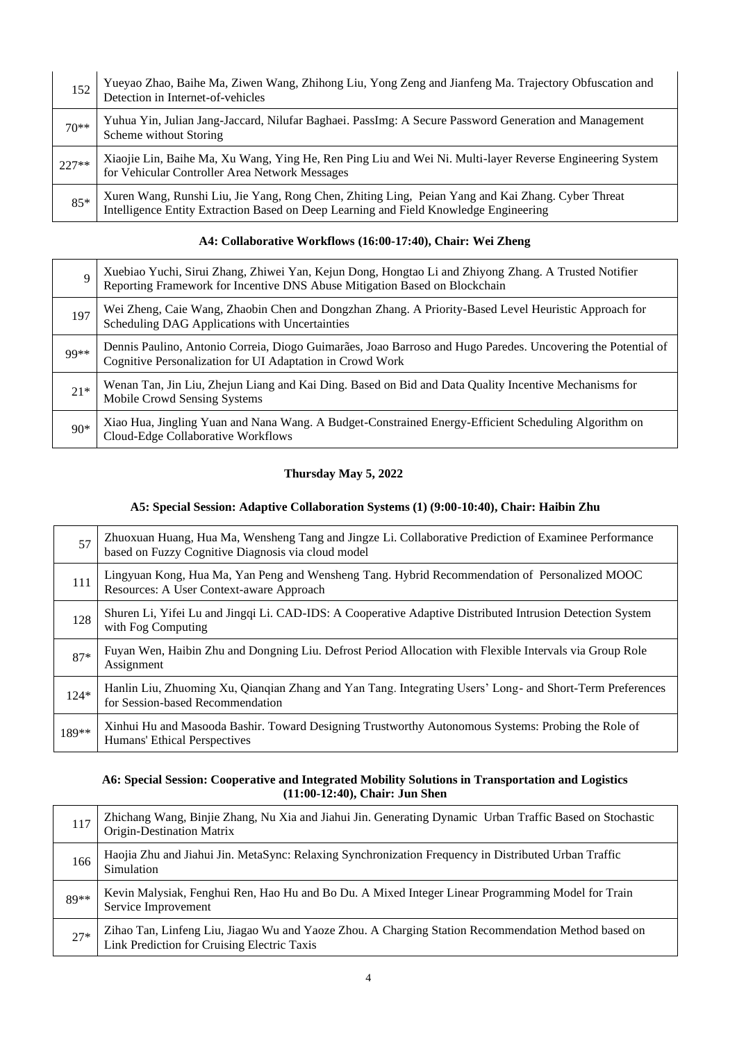| 152     | Yueyao Zhao, Baihe Ma, Ziwen Wang, Zhihong Liu, Yong Zeng and Jianfeng Ma. Trajectory Obfuscation and<br>Detection in Internet-of-vehicles                                                 |
|---------|--------------------------------------------------------------------------------------------------------------------------------------------------------------------------------------------|
| $70**$  | Yuhua Yin, Julian Jang-Jaccard, Nilufar Baghaei. PassImg: A Secure Password Generation and Management<br>Scheme without Storing                                                            |
| $227**$ | Xiaojie Lin, Baihe Ma, Xu Wang, Ying He, Ren Ping Liu and Wei Ni. Multi-layer Reverse Engineering System<br>for Vehicular Controller Area Network Messages                                 |
| $85*$   | Xuren Wang, Runshi Liu, Jie Yang, Rong Chen, Zhiting Ling, Peian Yang and Kai Zhang. Cyber Threat<br>Intelligence Entity Extraction Based on Deep Learning and Field Knowledge Engineering |

#### **A4: Collaborative Workflows (16:00-17:40), Chair: Wei Zheng**

| Q     | Xuebiao Yuchi, Sirui Zhang, Zhiwei Yan, Kejun Dong, Hongtao Li and Zhiyong Zhang. A Trusted Notifier Reporting Framework for Incentive DNS Abuse Mitigation Based on Blockchain |
|-------|---------------------------------------------------------------------------------------------------------------------------------------------------------------------------------|
| 197   | Wei Zheng, Caie Wang, Zhaobin Chen and Dongzhan Zhang. A Priority-Based Level Heuristic Approach for<br>Scheduling DAG Applications with Uncertainties                          |
| 99**  | Dennis Paulino, Antonio Correia, Diogo Guimarães, Joao Barroso and Hugo Paredes. Uncovering the Potential of<br>Cognitive Personalization for UI Adaptation in Crowd Work       |
| $21*$ | Wenan Tan, Jin Liu, Zhejun Liang and Kai Ding. Based on Bid and Data Quality Incentive Mechanisms for<br>Mobile Crowd Sensing Systems                                           |
| $90*$ | Xiao Hua, Jingling Yuan and Nana Wang. A Budget-Constrained Energy-Efficient Scheduling Algorithm on<br>Cloud-Edge Collaborative Workflows                                      |

### **Thursday May 5, 2022**

#### **A5: Special Session: Adaptive Collaboration Systems (1) (9:00-10:40), Chair: Haibin Zhu**

| 57     | Zhuoxuan Huang, Hua Ma, Wensheng Tang and Jingze Li. Collaborative Prediction of Examinee Performance<br>based on Fuzzy Cognitive Diagnosis via cloud model |
|--------|-------------------------------------------------------------------------------------------------------------------------------------------------------------|
| 111    | Lingyuan Kong, Hua Ma, Yan Peng and Wensheng Tang. Hybrid Recommendation of Personalized MOOC<br>Resources: A User Context-aware Approach                   |
| 128    | Shuren Li, Yifei Lu and Jingqi Li. CAD-IDS: A Cooperative Adaptive Distributed Intrusion Detection System<br>with Fog Computing                             |
| $87*$  | Fuyan Wen, Haibin Zhu and Dongning Liu. Defrost Period Allocation with Flexible Intervals via Group Role<br>Assignment                                      |
| $124*$ | Hanlin Liu, Zhuoming Xu, Qianqian Zhang and Yan Tang. Integrating Users' Long- and Short-Term Preferences<br>for Session-based Recommendation               |
| 189**  | Xinhui Hu and Masooda Bashir. Toward Designing Trustworthy Autonomous Systems: Probing the Role of<br>Humans' Ethical Perspectives                          |

#### **A6: Special Session: Cooperative and Integrated Mobility Solutions in Transportation and Logistics (11:00-12:40), Chair: Jun Shen**

| 117   | Zhichang Wang, Binjie Zhang, Nu Xia and Jiahui Jin. Generating Dynamic Urban Traffic Based on Stochastic<br>Origin-Destination Matrix              |
|-------|----------------------------------------------------------------------------------------------------------------------------------------------------|
| 166   | Haojia Zhu and Jiahui Jin. MetaSync: Relaxing Synchronization Frequency in Distributed Urban Traffic<br>Simulation                                 |
| 89**  | Kevin Malysiak, Fenghui Ren, Hao Hu and Bo Du. A Mixed Integer Linear Programming Model for Train<br>Service Improvement                           |
| $27*$ | Zihao Tan, Linfeng Liu, Jiagao Wu and Yaoze Zhou. A Charging Station Recommendation Method based on<br>Link Prediction for Cruising Electric Taxis |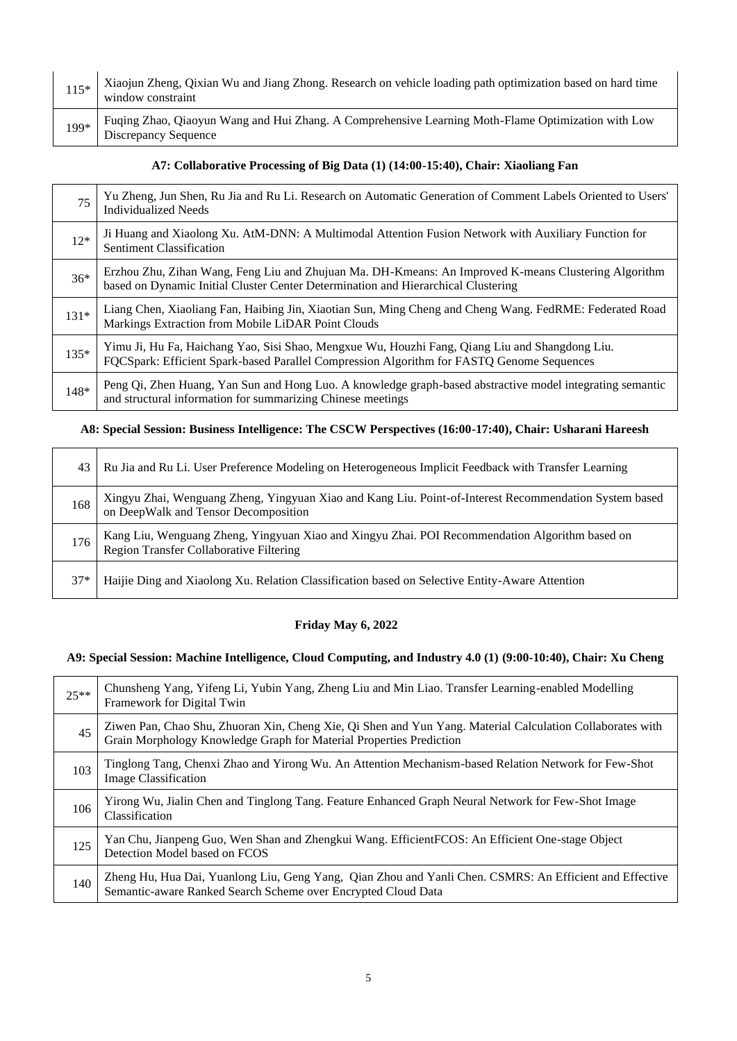| $115*$ | Xiaojun Zheng, Qixian Wu and Jiang Zhong. Research on vehicle loading path optimization based on hard time<br>window constraint   |
|--------|-----------------------------------------------------------------------------------------------------------------------------------|
| 199*   | Fuqing Zhao, Qiaoyun Wang and Hui Zhang. A Comprehensive Learning Moth-Flame Optimization with Low<br><b>Discrepancy Sequence</b> |

#### **A7: Collaborative Processing of Big Data (1) (14:00-15:40), Chair: Xiaoliang Fan**

| 75     | Yu Zheng, Jun Shen, Ru Jia and Ru Li. Research on Automatic Generation of Comment Labels Oriented to Users'<br><b>Individualized Needs</b>                                                  |
|--------|---------------------------------------------------------------------------------------------------------------------------------------------------------------------------------------------|
| $12*$  | Ji Huang and Xiaolong Xu. AtM-DNN: A Multimodal Attention Fusion Network with Auxiliary Function for<br><b>Sentiment Classification</b>                                                     |
| $36*$  | Erzhou Zhu, Zihan Wang, Feng Liu and Zhujuan Ma. DH-Kmeans: An Improved K-means Clustering Algorithm<br>based on Dynamic Initial Cluster Center Determination and Hierarchical Clustering   |
| $131*$ | Liang Chen, Xiaoliang Fan, Haibing Jin, Xiaotian Sun, Ming Cheng and Cheng Wang. FedRME: Federated Road<br>Markings Extraction from Mobile LiDAR Point Clouds                               |
| 135*   | Yimu Ji, Hu Fa, Haichang Yao, Sisi Shao, Mengxue Wu, Houzhi Fang, Qiang Liu and Shangdong Liu.<br>FQCSpark: Efficient Spark-based Parallel Compression Algorithm for FASTQ Genome Sequences |
| 148*   | Peng Qi, Zhen Huang, Yan Sun and Hong Luo. A knowledge graph-based abstractive model integrating semantic<br>and structural information for summarizing Chinese meetings                    |

## **A8: Special Session: Business Intelligence: The CSCW Perspectives (16:00-17:40), Chair: Usharani Hareesh**

| 43    | Ru Jia and Ru Li. User Preference Modeling on Heterogeneous Implicit Feedback with Transfer Learning                                           |
|-------|------------------------------------------------------------------------------------------------------------------------------------------------|
| 168   | Xingyu Zhai, Wenguang Zheng, Yingyuan Xiao and Kang Liu. Point-of-Interest Recommendation System based<br>on DeepWalk and Tensor Decomposition |
| 176   | Kang Liu, Wenguang Zheng, Yingyuan Xiao and Xingyu Zhai. POI Recommendation Algorithm based on Region Transfer Collaborative Filtering         |
| $37*$ | Haijie Ding and Xiaolong Xu. Relation Classification based on Selective Entity-Aware Attention                                                 |

## **Friday May 6, 2022**

## **A9: Special Session: Machine Intelligence, Cloud Computing, and Industry 4.0 (1) (9:00-10:40), Chair: Xu Cheng**

| $25**$ | Chunsheng Yang, Yifeng Li, Yubin Yang, Zheng Liu and Min Liao. Transfer Learning-enabled Modelling<br>Framework for Digital Twin                                                 |
|--------|----------------------------------------------------------------------------------------------------------------------------------------------------------------------------------|
| 45     | Ziwen Pan, Chao Shu, Zhuoran Xin, Cheng Xie, Qi Shen and Yun Yang. Material Calculation Collaborates with<br>Grain Morphology Knowledge Graph for Material Properties Prediction |
| 103    | Tinglong Tang, Chenxi Zhao and Yirong Wu. An Attention Mechanism-based Relation Network for Few-Shot<br><b>Image Classification</b>                                              |
| 106    | Yirong Wu, Jialin Chen and Tinglong Tang. Feature Enhanced Graph Neural Network for Few-Shot Image<br>Classification                                                             |
| 125    | Yan Chu, Jianpeng Guo, Wen Shan and Zhengkui Wang. EfficientFCOS: An Efficient One-stage Object<br>Detection Model based on FCOS                                                 |
| 140    | Zheng Hu, Hua Dai, Yuanlong Liu, Geng Yang, Qian Zhou and Yanli Chen. CSMRS: An Efficient and Effective<br>Semantic-aware Ranked Search Scheme over Encrypted Cloud Data         |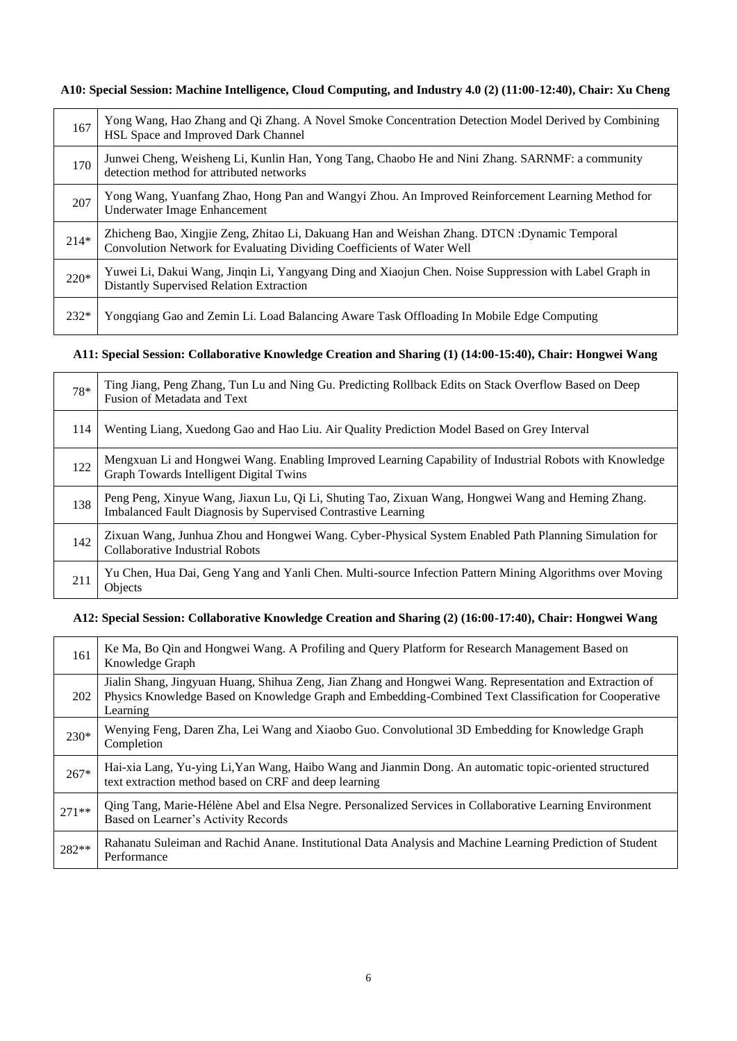**A10: Special Session: Machine Intelligence, Cloud Computing, and Industry 4.0 (2) (11:00-12:40), Chair: Xu Cheng**

| 167    | Yong Wang, Hao Zhang and Qi Zhang. A Novel Smoke Concentration Detection Model Derived by Combining<br>HSL Space and Improved Dark Channel                              |
|--------|-------------------------------------------------------------------------------------------------------------------------------------------------------------------------|
| 170    | Junwei Cheng, Weisheng Li, Kunlin Han, Yong Tang, Chaobo He and Nini Zhang. SARNMF: a community<br>detection method for attributed networks                             |
| 207    | Yong Wang, Yuanfang Zhao, Hong Pan and Wangyi Zhou. An Improved Reinforcement Learning Method for<br>Underwater Image Enhancement                                       |
| $214*$ | Zhicheng Bao, Xingjie Zeng, Zhitao Li, Dakuang Han and Weishan Zhang. DTCN : Dynamic Temporal<br>Convolution Network for Evaluating Dividing Coefficients of Water Well |
| $220*$ | Yuwei Li, Dakui Wang, Jinqin Li, Yangyang Ding and Xiaojun Chen. Noise Suppression with Label Graph in<br><b>Distantly Supervised Relation Extraction</b>               |
| $232*$ | Yongqiang Gao and Zemin Li. Load Balancing Aware Task Offloading In Mobile Edge Computing                                                                               |

## **A11: Special Session: Collaborative Knowledge Creation and Sharing (1) (14:00-15:40), Chair: Hongwei Wang**

| 78* | Ting Jiang, Peng Zhang, Tun Lu and Ning Gu. Predicting Rollback Edits on Stack Overflow Based on Deep<br>Fusion of Metadata and Text                                |
|-----|---------------------------------------------------------------------------------------------------------------------------------------------------------------------|
| 114 | Wenting Liang, Xuedong Gao and Hao Liu. Air Quality Prediction Model Based on Grey Interval                                                                         |
| 122 | Mengxuan Li and Hongwei Wang. Enabling Improved Learning Capability of Industrial Robots with Knowledge<br>Graph Towards Intelligent Digital Twins                  |
| 138 | Peng Peng, Xinyue Wang, Jiaxun Lu, Qi Li, Shuting Tao, Zixuan Wang, Hongwei Wang and Heming Zhang.<br>Imbalanced Fault Diagnosis by Supervised Contrastive Learning |
| 142 | Zixuan Wang, Junhua Zhou and Hongwei Wang. Cyber-Physical System Enabled Path Planning Simulation for<br>Collaborative Industrial Robots                            |
| 211 | Yu Chen, Hua Dai, Geng Yang and Yanli Chen. Multi-source Infection Pattern Mining Algorithms over Moving<br><b>Objects</b>                                          |

### **A12: Special Session: Collaborative Knowledge Creation and Sharing (2) (16:00-17:40), Chair: Hongwei Wang**

| 161     | Ke Ma, Bo Qin and Hongwei Wang. A Profiling and Query Platform for Research Management Based on<br>Knowledge Graph                                                                                                            |
|---------|-------------------------------------------------------------------------------------------------------------------------------------------------------------------------------------------------------------------------------|
| 202     | Jialin Shang, Jingyuan Huang, Shihua Zeng, Jian Zhang and Hongwei Wang. Representation and Extraction of<br>Physics Knowledge Based on Knowledge Graph and Embedding-Combined Text Classification for Cooperative<br>Learning |
| 230*    | Wenying Feng, Daren Zha, Lei Wang and Xiaobo Guo. Convolutional 3D Embedding for Knowledge Graph<br>Completion                                                                                                                |
| $267*$  | Hai-xia Lang, Yu-ying Li, Yan Wang, Haibo Wang and Jianmin Dong. An automatic topic-oriented structured<br>text extraction method based on CRF and deep learning                                                              |
| $271**$ | Qing Tang, Marie-Hélène Abel and Elsa Negre. Personalized Services in Collaborative Learning Environment<br>Based on Learner's Activity Records                                                                               |
| 282**   | Rahanatu Suleiman and Rachid Anane. Institutional Data Analysis and Machine Learning Prediction of Student<br>Performance                                                                                                     |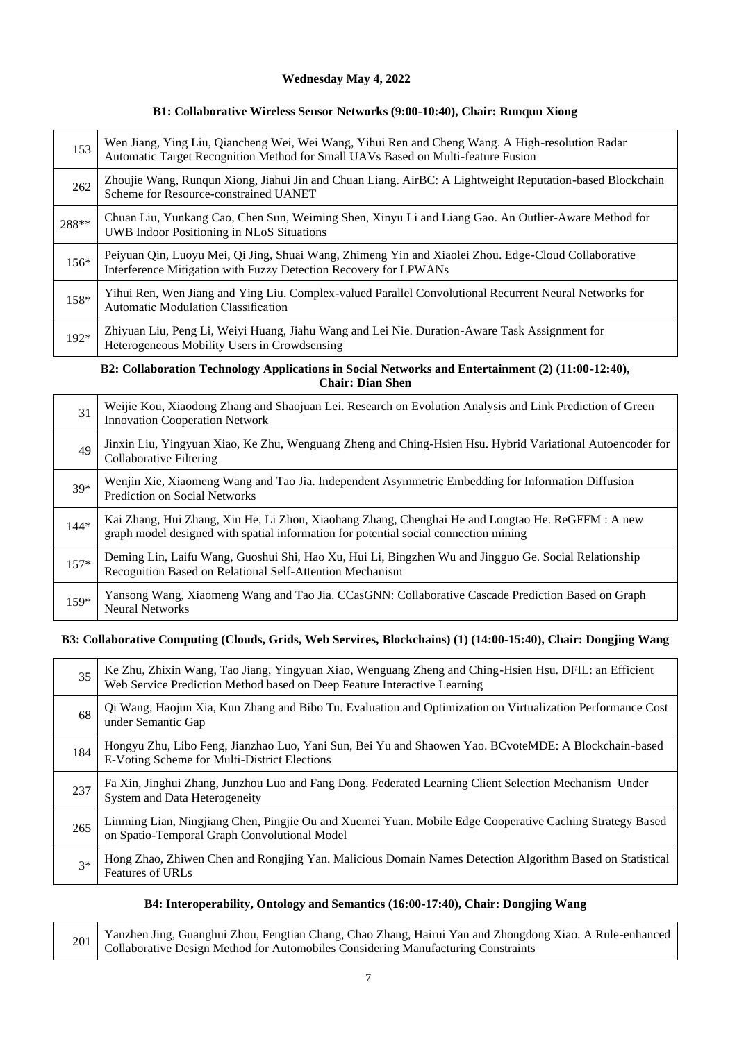#### **Wednesday May 4, 2022**

#### **B1: Collaborative Wireless Sensor Networks (9:00-10:40), Chair: Runqun Xiong**

| 153    | Wen Jiang, Ying Liu, Qiancheng Wei, Wei Wang, Yihui Ren and Cheng Wang. A High-resolution Radar<br>Automatic Target Recognition Method for Small UAVs Based on Multi-feature Fusion |
|--------|-------------------------------------------------------------------------------------------------------------------------------------------------------------------------------------|
| 262    | Zhoujie Wang, Runqun Xiong, Jiahui Jin and Chuan Liang. AirBC: A Lightweight Reputation-based Blockchain<br>Scheme for Resource-constrained UANET                                   |
| 288**  | Chuan Liu, Yunkang Cao, Chen Sun, Weiming Shen, Xinyu Li and Liang Gao. An Outlier-Aware Method for<br><b>UWB</b> Indoor Positioning in NLoS Situations                             |
| $156*$ | Peiyuan Qin, Luoyu Mei, Qi Jing, Shuai Wang, Zhimeng Yin and Xiaolei Zhou. Edge-Cloud Collaborative<br>Interference Mitigation with Fuzzy Detection Recovery for LPWANs             |
| 158*   | Yihui Ren, Wen Jiang and Ying Liu. Complex-valued Parallel Convolutional Recurrent Neural Networks for<br>Automatic Modulation Classification                                       |
| 192*   | Zhiyuan Liu, Peng Li, Weiyi Huang, Jiahu Wang and Lei Nie. Duration-Aware Task Assignment for<br>Heterogeneous Mobility Users in Crowdsensing                                       |

## **B2: Collaboration Technology Applications in Social Networks and Entertainment (2) (11:00-12:40), Chair: Dian Shen**

| 31     | Weijie Kou, Xiaodong Zhang and Shaojuan Lei. Research on Evolution Analysis and Link Prediction of Green<br><b>Innovation Cooperation Network</b>                                         |
|--------|-------------------------------------------------------------------------------------------------------------------------------------------------------------------------------------------|
| 49     | Jinxin Liu, Yingyuan Xiao, Ke Zhu, Wenguang Zheng and Ching-Hsien Hsu. Hybrid Variational Autoencoder for<br><b>Collaborative Filtering</b>                                               |
| $39*$  | Wenjin Xie, Xiaomeng Wang and Tao Jia. Independent Asymmetric Embedding for Information Diffusion<br><b>Prediction on Social Networks</b>                                                 |
| $144*$ | Kai Zhang, Hui Zhang, Xin He, Li Zhou, Xiaohang Zhang, Chenghai He and Longtao He. ReGFFM : A new<br>graph model designed with spatial information for potential social connection mining |
| $157*$ | Deming Lin, Laifu Wang, Guoshui Shi, Hao Xu, Hui Li, Bingzhen Wu and Jingguo Ge. Social Relationship<br>Recognition Based on Relational Self-Attention Mechanism                          |
| 159*   | Yansong Wang, Xiaomeng Wang and Tao Jia. CCasGNN: Collaborative Cascade Prediction Based on Graph<br><b>Neural Networks</b>                                                               |

#### **B3: Collaborative Computing (Clouds, Grids, Web Services, Blockchains) (1) (14:00-15:40), Chair: Dongjing Wang**

| 35   | Ke Zhu, Zhixin Wang, Tao Jiang, Yingyuan Xiao, Wenguang Zheng and Ching-Hsien Hsu. DFIL: an Efficient Web Service Prediction Method based on Deep Feature Interactive Learning |
|------|--------------------------------------------------------------------------------------------------------------------------------------------------------------------------------|
| 68   | Qi Wang, Haojun Xia, Kun Zhang and Bibo Tu. Evaluation and Optimization on Virtualization Performance Cost<br>under Semantic Gap                                               |
| 184  | Hongyu Zhu, Libo Feng, Jianzhao Luo, Yani Sun, Bei Yu and Shaowen Yao. BCvoteMDE: A Blockchain-based<br>E-Voting Scheme for Multi-District Elections                           |
| 237  | Fa Xin, Jinghui Zhang, Junzhou Luo and Fang Dong. Federated Learning Client Selection Mechanism Under<br><b>System and Data Heterogeneity</b>                                  |
| 265  | Linming Lian, Ningjiang Chen, Pingjie Ou and Xuemei Yuan. Mobile Edge Cooperative Caching Strategy Based<br>on Spatio-Temporal Graph Convolutional Model                       |
| $3*$ | Hong Zhao, Zhiwen Chen and Rongjing Yan. Malicious Domain Names Detection Algorithm Based on Statistical<br><b>Features of URLs</b>                                            |

#### **B4: Interoperability, Ontology and Semantics (16:00-17:40), Chair: Dongjing Wang**

<sup>201</sup> Yanzhen Jing, Guanghui Zhou, Fengtian Chang, Chao Zhang, Hairui Yan and Zhongdong Xiao. A Rule-enhanced Collaborative Design Method for Automobiles Considering Manufacturing Constraints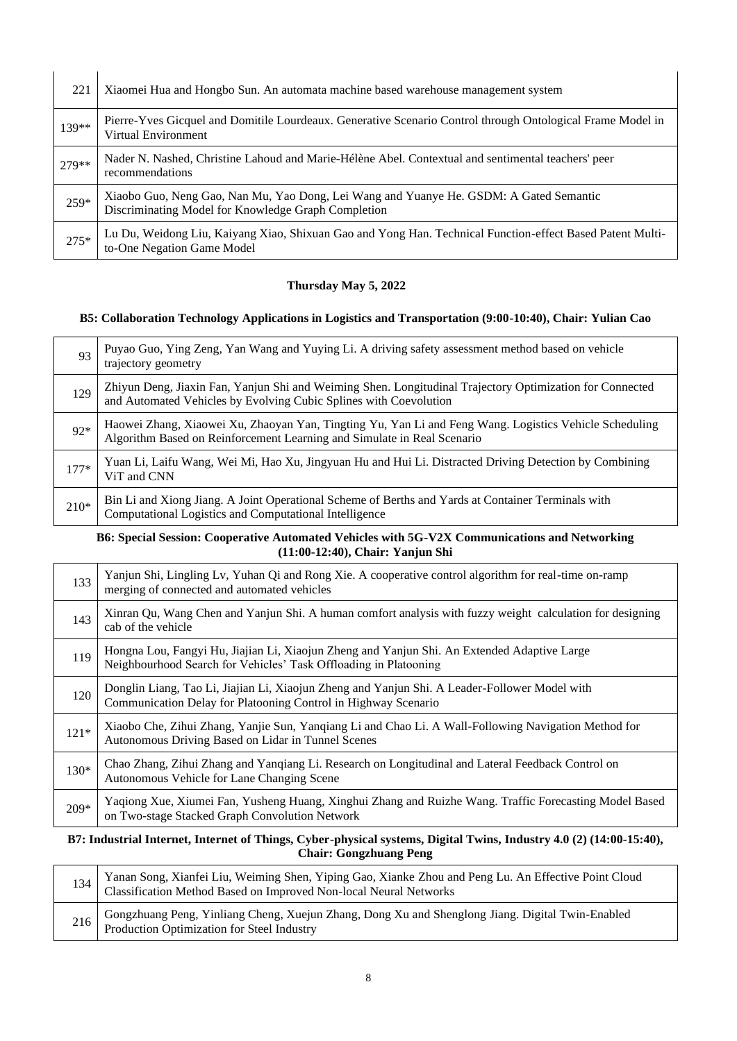| 221    | Xiaomei Hua and Hongbo Sun. An automata machine based warehouse management system                                                             |
|--------|-----------------------------------------------------------------------------------------------------------------------------------------------|
| 139**  | Pierre-Yves Gicquel and Domitile Lourdeaux. Generative Scenario Control through Ontological Frame Model in<br>Virtual Environment             |
| 279**  | Nader N. Nashed, Christine Lahoud and Marie-Hélène Abel. Contextual and sentimental teachers' peer<br>recommendations                         |
| 259*   | Xiaobo Guo, Neng Gao, Nan Mu, Yao Dong, Lei Wang and Yuanye He. GSDM: A Gated Semantic<br>Discriminating Model for Knowledge Graph Completion |
| $275*$ | Lu Du, Weidong Liu, Kaiyang Xiao, Shixuan Gao and Yong Han. Technical Function-effect Based Patent Multi-<br>to-One Negation Game Model       |

### **Thursday May 5, 2022**

#### **B5: Collaboration Technology Applications in Logistics and Transportation (9:00-10:40), Chair: Yulian Cao**

| 93     | Puyao Guo, Ying Zeng, Yan Wang and Yuying Li. A driving safety assessment method based on vehicle<br>trajectory geometry                                                          |
|--------|-----------------------------------------------------------------------------------------------------------------------------------------------------------------------------------|
| 129    | Zhiyun Deng, Jiaxin Fan, Yanjun Shi and Weiming Shen. Longitudinal Trajectory Optimization for Connected<br>and Automated Vehicles by Evolving Cubic Splines with Coevolution     |
| $92*$  | Haowei Zhang, Xiaowei Xu, Zhaoyan Yan, Tingting Yu, Yan Li and Feng Wang. Logistics Vehicle Scheduling<br>Algorithm Based on Reinforcement Learning and Simulate in Real Scenario |
| $177*$ | Yuan Li, Laifu Wang, Wei Mi, Hao Xu, Jingyuan Hu and Hui Li. Distracted Driving Detection by Combining<br>ViT and CNN                                                             |
| $210*$ | Bin Li and Xiong Jiang. A Joint Operational Scheme of Berths and Yards at Container Terminals with<br>Computational Logistics and Computational Intelligence                      |

#### **B6: Special Session: Cooperative Automated Vehicles with 5G-V2X Communications and Networking (11:00-12:40), Chair: Yanjun Shi**

| 133    | Yanjun Shi, Lingling Lv, Yuhan Qi and Rong Xie. A cooperative control algorithm for real-time on-ramp<br>merging of connected and automated vehicles            |
|--------|-----------------------------------------------------------------------------------------------------------------------------------------------------------------|
| 143    | Xinran Qu, Wang Chen and Yanjun Shi. A human comfort analysis with fuzzy weight calculation for designing<br>cab of the vehicle                                 |
| 119    | Hongna Lou, Fangyi Hu, Jiajian Li, Xiaojun Zheng and Yanjun Shi. An Extended Adaptive Large<br>Neighbourhood Search for Vehicles' Task Offloading in Platooning |
| 120    | Donglin Liang, Tao Li, Jiajian Li, Xiaojun Zheng and Yanjun Shi. A Leader-Follower Model with<br>Communication Delay for Platooning Control in Highway Scenario |
| $121*$ | Xiaobo Che, Zihui Zhang, Yanjie Sun, Yanqiang Li and Chao Li. A Wall-Following Navigation Method for<br>Autonomous Driving Based on Lidar in Tunnel Scenes      |
| 130*   | Chao Zhang, Zihui Zhang and Yanqiang Li. Research on Longitudinal and Lateral Feedback Control on<br>Autonomous Vehicle for Lane Changing Scene                 |
| 209*   | Yaqiong Xue, Xiumei Fan, Yusheng Huang, Xinghui Zhang and Ruizhe Wang. Traffic Forecasting Model Based<br>on Two-stage Stacked Graph Convolution Network        |

#### **B7: Industrial Internet, Internet of Things, Cyber-physical systems, Digital Twins, Industry 4.0 (2) (14:00-15:40), Chair: Gongzhuang Peng**

|     | Yanan Song, Xianfei Liu, Weiming Shen, Yiping Gao, Xianke Zhou and Peng Lu. An Effective Point Cloud Classification Method Based on Improved Non-local Neural Networks |
|-----|------------------------------------------------------------------------------------------------------------------------------------------------------------------------|
| 216 | - Gongzhuang Peng, Yinliang Cheng, Xuejun Zhang, Dong Xu and Shenglong Jiang. Digital Twin-Enabled Production Optimization for Steel Industry                          |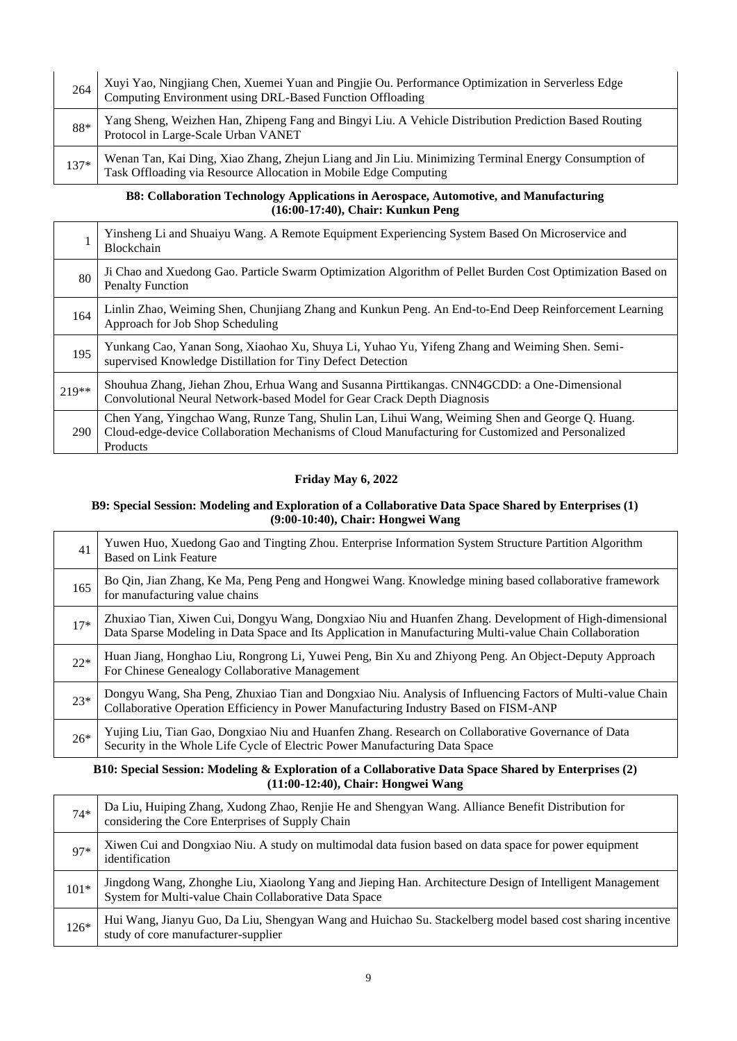| 264    | Xuyi Yao, Ningjiang Chen, Xuemei Yuan and Pingjie Ou. Performance Optimization in Serverless Edge<br>Computing Environment using DRL-Based Function Offloading        |
|--------|-----------------------------------------------------------------------------------------------------------------------------------------------------------------------|
| 88*    | Yang Sheng, Weizhen Han, Zhipeng Fang and Bingyi Liu. A Vehicle Distribution Prediction Based Routing<br>Protocol in Large-Scale Urban VANET                          |
| $137*$ | Wenan Tan, Kai Ding, Xiao Zhang, Zhejun Liang and Jin Liu. Minimizing Terminal Energy Consumption of Task Offloading via Resource Allocation in Mobile Edge Computing |

#### **B8: Collaboration Technology Applications in Aerospace, Automotive, and Manufacturing (16:00-17:40), Chair: Kunkun Peng**

|       | Yinsheng Li and Shuaiyu Wang. A Remote Equipment Experiencing System Based On Microservice and<br><b>Blockchain</b>                                                                                              |
|-------|------------------------------------------------------------------------------------------------------------------------------------------------------------------------------------------------------------------|
| 80    | Ji Chao and Xuedong Gao. Particle Swarm Optimization Algorithm of Pellet Burden Cost Optimization Based on<br><b>Penalty Function</b>                                                                            |
| 164   | Linlin Zhao, Weiming Shen, Chunjiang Zhang and Kunkun Peng. An End-to-End Deep Reinforcement Learning<br>Approach for Job Shop Scheduling                                                                        |
| 195   | Yunkang Cao, Yanan Song, Xiaohao Xu, Shuya Li, Yuhao Yu, Yifeng Zhang and Weiming Shen. Semi-<br>supervised Knowledge Distillation for Tiny Defect Detection                                                     |
| 219** | Shouhua Zhang, Jiehan Zhou, Erhua Wang and Susanna Pirttikangas. CNN4GCDD: a One-Dimensional<br>Convolutional Neural Network-based Model for Gear Crack Depth Diagnosis                                          |
| 290   | Chen Yang, Yingchao Wang, Runze Tang, Shulin Lan, Lihui Wang, Weiming Shen and George Q. Huang.<br>Cloud-edge-device Collaboration Mechanisms of Cloud Manufacturing for Customized and Personalized<br>Products |

## **Friday May 6, 2022**

#### **B9: Special Session: Modeling and Exploration of a Collaborative Data Space Shared by Enterprises (1) (9:00-10:40), Chair: Hongwei Wang**

| 41    | Yuwen Huo, Xuedong Gao and Tingting Zhou. Enterprise Information System Structure Partition Algorithm<br><b>Based on Link Feature</b>                                                                            |
|-------|------------------------------------------------------------------------------------------------------------------------------------------------------------------------------------------------------------------|
| 165   | Bo Qin, Jian Zhang, Ke Ma, Peng Peng and Hongwei Wang. Knowledge mining based collaborative framework<br>for manufacturing value chains                                                                          |
| $17*$ | Zhuxiao Tian, Xiwen Cui, Dongyu Wang, Dongxiao Niu and Huanfen Zhang. Development of High-dimensional<br>Data Sparse Modeling in Data Space and Its Application in Manufacturing Multi-value Chain Collaboration |
| $22*$ | Huan Jiang, Honghao Liu, Rongrong Li, Yuwei Peng, Bin Xu and Zhiyong Peng. An Object-Deputy Approach<br>For Chinese Genealogy Collaborative Management                                                           |
| $23*$ | Dongyu Wang, Sha Peng, Zhuxiao Tian and Dongxiao Niu. Analysis of Influencing Factors of Multi-value Chain Collaborative Operation Efficiency in Power Manufacturing Industry Based on FISM-ANP                  |
| $26*$ | Yujing Liu, Tian Gao, Dongxiao Niu and Huanfen Zhang. Research on Collaborative Governance of Data<br>Security in the Whole Life Cycle of Electric Power Manufacturing Data Space                                |

### **B10: Special Session: Modeling & Exploration of a Collaborative Data Space Shared by Enterprises (2) (11:00-12:40), Chair: Hongwei Wang**

| $74*$  | Da Liu, Huiping Zhang, Xudong Zhao, Renjie He and Shengyan Wang. Alliance Benefit Distribution for considering the Core Enterprises of Supply Chain               |
|--------|-------------------------------------------------------------------------------------------------------------------------------------------------------------------|
| $Q7*$  | Xiwen Cui and Dongxiao Niu. A study on multimodal data fusion based on data space for power equipment<br>identification                                           |
| $101*$ | Jingdong Wang, Zhonghe Liu, Xiaolong Yang and Jieping Han. Architecture Design of Intelligent Management<br>System for Multi-value Chain Collaborative Data Space |
| $126*$ | Hui Wang, Jianyu Guo, Da Liu, Shengyan Wang and Huichao Su. Stackelberg model based cost sharing incentive<br>study of core manufacturer-supplier                 |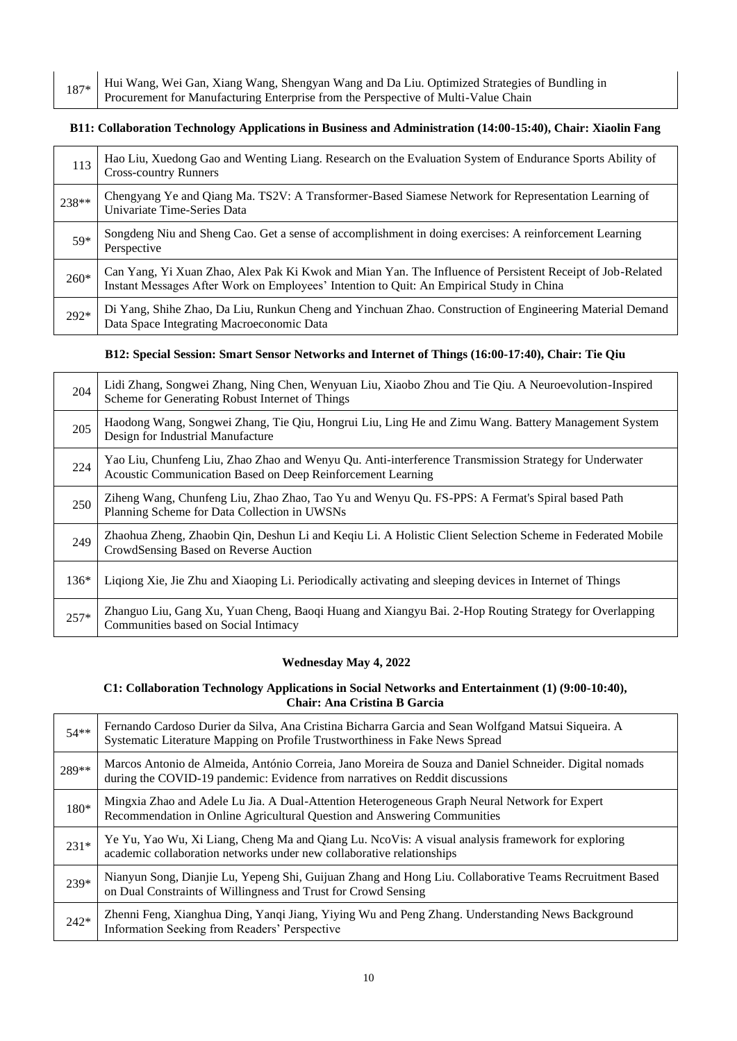187\* Hui Wang, Wei Gan, Xiang Wang, Shengyan Wang and Da Liu. Optimized Strategies of Bundling in Procurement for Manufacturing Enterprise from the Perspective of Multi-Value Chain

#### **B11: Collaboration Technology Applications in Business and Administration (14:00-15:40), Chair: Xiaolin Fang**

| 113    | Hao Liu, Xuedong Gao and Wenting Liang. Research on the Evaluation System of Endurance Sports Ability of<br><b>Cross-country Runners</b>                                                           |
|--------|----------------------------------------------------------------------------------------------------------------------------------------------------------------------------------------------------|
| 238**  | Chengyang Ye and Qiang Ma. TS2V: A Transformer-Based Siamese Network for Representation Learning of<br>Univariate Time-Series Data                                                                 |
| 59*    | Songdeng Niu and Sheng Cao. Get a sense of accomplishment in doing exercises: A reinforcement Learning<br>Perspective                                                                              |
| $260*$ | Can Yang, Yi Xuan Zhao, Alex Pak Ki Kwok and Mian Yan. The Influence of Persistent Receipt of Job-Related Instant Messages After Work on Employees' Intention to Quit: An Empirical Study in China |
| $292*$ | Di Yang, Shihe Zhao, Da Liu, Runkun Cheng and Yinchuan Zhao. Construction of Engineering Material Demand<br>Data Space Integrating Macroeconomic Data                                              |

#### **B12: Special Session: Smart Sensor Networks and Internet of Things (16:00-17:40), Chair: Tie Qiu**

| 204    | Lidi Zhang, Songwei Zhang, Ning Chen, Wenyuan Liu, Xiaobo Zhou and Tie Qiu. A Neuroevolution-Inspired<br>Scheme for Generating Robust Internet of Things             |
|--------|----------------------------------------------------------------------------------------------------------------------------------------------------------------------|
| 205    | Haodong Wang, Songwei Zhang, Tie Qiu, Hongrui Liu, Ling He and Zimu Wang. Battery Management System<br>Design for Industrial Manufacture                             |
| 224    | Yao Liu, Chunfeng Liu, Zhao Zhao and Wenyu Qu. Anti-interference Transmission Strategy for Underwater<br>Acoustic Communication Based on Deep Reinforcement Learning |
| 250    | Ziheng Wang, Chunfeng Liu, Zhao Zhao, Tao Yu and Wenyu Qu. FS-PPS: A Fermat's Spiral based Path<br>Planning Scheme for Data Collection in UWSNs                      |
| 249    | Zhaohua Zheng, Zhaobin Qin, Deshun Li and Keqiu Li. A Holistic Client Selection Scheme in Federated Mobile<br>CrowdSensing Based on Reverse Auction                  |
| $136*$ | Liqiong Xie, Jie Zhu and Xiaoping Li. Periodically activating and sleeping devices in Internet of Things                                                             |
| $257*$ | Zhanguo Liu, Gang Xu, Yuan Cheng, Baoqi Huang and Xiangyu Bai. 2-Hop Routing Strategy for Overlapping<br>Communities based on Social Intimacy                        |

#### **Wednesday May 4, 2022**

#### **C1: Collaboration Technology Applications in Social Networks and Entertainment (1) (9:00-10:40), Chair: Ana Cristina B Garcia**

| $54**$ | Fernando Cardoso Durier da Silva, Ana Cristina Bicharra Garcia and Sean Wolfgand Matsui Siqueira. A<br>Systematic Literature Mapping on Profile Trustworthiness in Fake News Spread    |
|--------|----------------------------------------------------------------------------------------------------------------------------------------------------------------------------------------|
| 289**  | Marcos Antonio de Almeida, António Correia, Jano Moreira de Souza and Daniel Schneider. Digital nomads<br>during the COVID-19 pandemic: Evidence from narratives on Reddit discussions |
| 180*   | Mingxia Zhao and Adele Lu Jia. A Dual-Attention Heterogeneous Graph Neural Network for Expert<br>Recommendation in Online Agricultural Question and Answering Communities              |
| $231*$ | Ye Yu, Yao Wu, Xi Liang, Cheng Ma and Qiang Lu. NcoVis: A visual analysis framework for exploring academic collaboration networks under new collaborative relationships                |
| 239*   | Nianyun Song, Dianjie Lu, Yepeng Shi, Guijuan Zhang and Hong Liu. Collaborative Teams Recruitment Based<br>on Dual Constraints of Willingness and Trust for Crowd Sensing              |
| $242*$ | Zhenni Feng, Xianghua Ding, Yanqi Jiang, Yiying Wu and Peng Zhang. Understanding News Background<br>Information Seeking from Readers' Perspective                                      |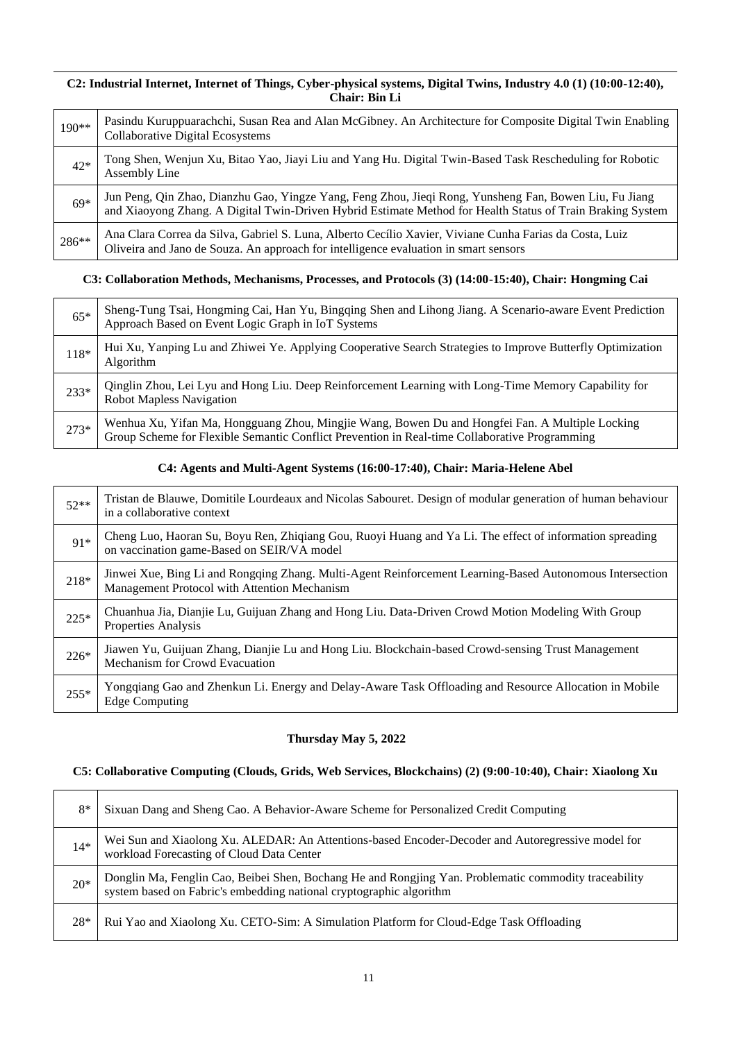#### **C2: Industrial Internet, Internet of Things, Cyber-physical systems, Digital Twins, Industry 4.0 (1) (10:00-12:40), Chair: Bin Li**

| $190**$ | Pasindu Kuruppuarachchi, Susan Rea and Alan McGibney. An Architecture for Composite Digital Twin Enabling<br><b>Collaborative Digital Ecosystems</b>                                                                 |
|---------|----------------------------------------------------------------------------------------------------------------------------------------------------------------------------------------------------------------------|
| $42*$   | Tong Shen, Wenjun Xu, Bitao Yao, Jiayi Liu and Yang Hu. Digital Twin-Based Task Rescheduling for Robotic<br>Assembly Line                                                                                            |
| $69*$   | Jun Peng, Qin Zhao, Dianzhu Gao, Yingze Yang, Feng Zhou, Jieqi Rong, Yunsheng Fan, Bowen Liu, Fu Jiang<br>and Xiaoyong Zhang. A Digital Twin-Driven Hybrid Estimate Method for Health Status of Train Braking System |
| 286**   | Ana Clara Correa da Silva, Gabriel S. Luna, Alberto Cecílio Xavier, Viviane Cunha Farias da Costa, Luiz<br>Oliveira and Jano de Souza. An approach for intelligence evaluation in smart sensors                      |

## **C3: Collaboration Methods, Mechanisms, Processes, and Protocols (3) (14:00-15:40), Chair: Hongming Cai**

| $65*$  | Sheng-Tung Tsai, Hongming Cai, Han Yu, Bingqing Shen and Lihong Jiang. A Scenario-aware Event Prediction<br>Approach Based on Event Logic Graph in IoT Systems                                   |
|--------|--------------------------------------------------------------------------------------------------------------------------------------------------------------------------------------------------|
| $118*$ | Hui Xu, Yanping Lu and Zhiwei Ye. Applying Cooperative Search Strategies to Improve Butterfly Optimization<br>Algorithm                                                                          |
| $233*$ | Qinglin Zhou, Lei Lyu and Hong Liu. Deep Reinforcement Learning with Long-Time Memory Capability for<br><b>Robot Mapless Navigation</b>                                                          |
| $273*$ | Wenhua Xu, Yifan Ma, Hongguang Zhou, Mingjie Wang, Bowen Du and Hongfei Fan. A Multiple Locking<br>Group Scheme for Flexible Semantic Conflict Prevention in Real-time Collaborative Programming |

## **C4: Agents and Multi-Agent Systems (16:00-17:40), Chair: Maria-Helene Abel**

| $52**$ | Tristan de Blauwe, Domitile Lourdeaux and Nicolas Sabouret. Design of modular generation of human behaviour<br>in a collaborative context                |
|--------|----------------------------------------------------------------------------------------------------------------------------------------------------------|
| $91*$  | Cheng Luo, Haoran Su, Boyu Ren, Zhiqiang Gou, Ruoyi Huang and Ya Li. The effect of information spreading<br>on vaccination game-Based on SEIR/VA model   |
| 218*   | Jinwei Xue, Bing Li and Rongqing Zhang. Multi-Agent Reinforcement Learning-Based Autonomous Intersection<br>Management Protocol with Attention Mechanism |
| $225*$ | Chuanhua Jia, Dianjie Lu, Guijuan Zhang and Hong Liu. Data-Driven Crowd Motion Modeling With Group<br>Properties Analysis                                |
| $226*$ | Jiawen Yu, Guijuan Zhang, Dianjie Lu and Hong Liu. Blockchain-based Crowd-sensing Trust Management<br>Mechanism for Crowd Evacuation                     |
| $255*$ | Yongqiang Gao and Zhenkun Li. Energy and Delay-Aware Task Offloading and Resource Allocation in Mobile<br><b>Edge Computing</b>                          |

### **Thursday May 5, 2022**

### **C5: Collaborative Computing (Clouds, Grids, Web Services, Blockchains) (2) (9:00-10:40), Chair: Xiaolong Xu**

| 8*    | Sixuan Dang and Sheng Cao. A Behavior-Aware Scheme for Personalized Credit Computing                                                                                      |
|-------|---------------------------------------------------------------------------------------------------------------------------------------------------------------------------|
| $14*$ | Wei Sun and Xiaolong Xu. ALEDAR: An Attentions-based Encoder-Decoder and Autoregressive model for<br>workload Forecasting of Cloud Data Center                            |
| $20*$ | Donglin Ma, Fenglin Cao, Beibei Shen, Bochang He and Rongjing Yan. Problematic commodity traceability system based on Fabric's embedding national cryptographic algorithm |
| 28*   | Rui Yao and Xiaolong Xu. CETO-Sim: A Simulation Platform for Cloud-Edge Task Offloading                                                                                   |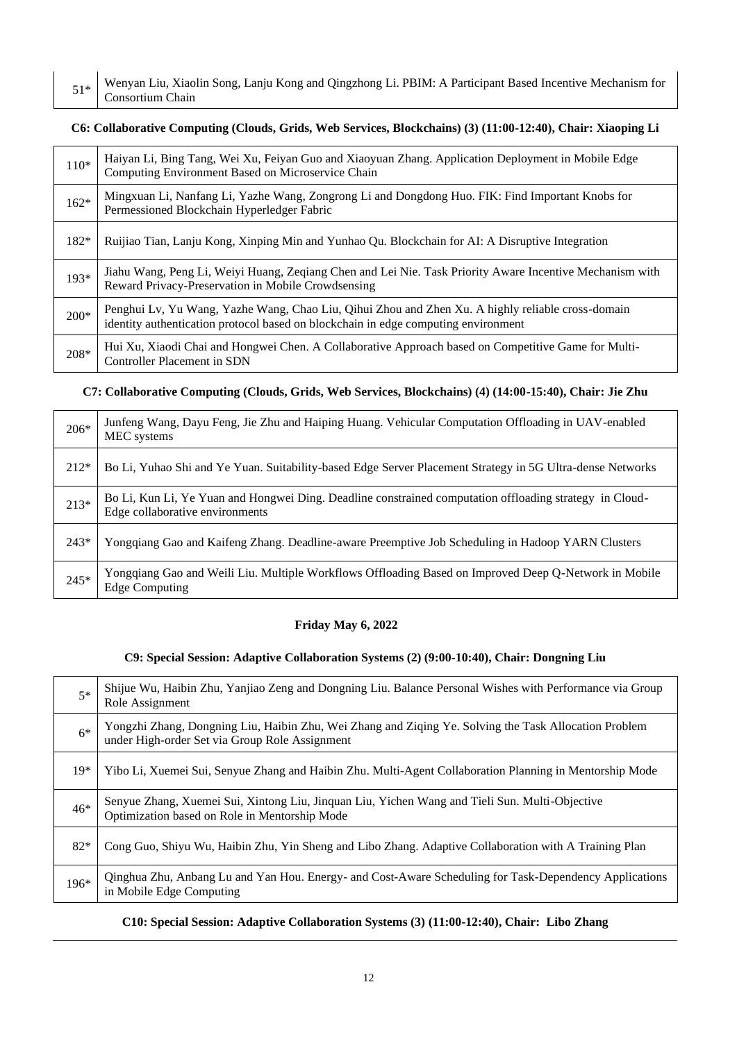51\* Wenyan Liu, Xiaolin Song, Lanju Kong and Qingzhong Li. PBIM: A Participant Based Incentive Mechanism for Consortium Chain

#### **C6: Collaborative Computing (Clouds, Grids, Web Services, Blockchains) (3) (11:00-12:40), Chair: Xiaoping Li**

| $110*$ | Haiyan Li, Bing Tang, Wei Xu, Feiyan Guo and Xiaoyuan Zhang. Application Deployment in Mobile Edge<br>Computing Environment Based on Microservice Chain                                 |
|--------|-----------------------------------------------------------------------------------------------------------------------------------------------------------------------------------------|
| $162*$ | Mingxuan Li, Nanfang Li, Yazhe Wang, Zongrong Li and Dongdong Huo. FIK: Find Important Knobs for<br>Permessioned Blockchain Hyperledger Fabric                                          |
| $182*$ | Ruijiao Tian, Lanju Kong, Xinping Min and Yunhao Qu. Blockchain for AI: A Disruptive Integration                                                                                        |
| 193*   | Jiahu Wang, Peng Li, Weiyi Huang, Zeqiang Chen and Lei Nie. Task Priority Aware Incentive Mechanism with<br>Reward Privacy-Preservation in Mobile Crowdsensing                          |
| $200*$ | Penghui Lv, Yu Wang, Yazhe Wang, Chao Liu, Qihui Zhou and Zhen Xu. A highly reliable cross-domain<br>identity authentication protocol based on blockchain in edge computing environment |
| 208*   | Hui Xu, Xiaodi Chai and Hongwei Chen. A Collaborative Approach based on Competitive Game for Multi-<br>Controller Placement in SDN                                                      |

## **C7: Collaborative Computing (Clouds, Grids, Web Services, Blockchains) (4) (14:00-15:40), Chair: Jie Zhu**

| 206*   | Junfeng Wang, Dayu Feng, Jie Zhu and Haiping Huang. Vehicular Computation Offloading in UAV-enabled<br>MEC systems                         |
|--------|--------------------------------------------------------------------------------------------------------------------------------------------|
| $212*$ | Bo Li, Yuhao Shi and Ye Yuan. Suitability-based Edge Server Placement Strategy in 5G Ultra-dense Networks                                  |
| $213*$ | Bo Li, Kun Li, Ye Yuan and Hongwei Ding. Deadline constrained computation offloading strategy in Cloud-<br>Edge collaborative environments |
| $243*$ | Yongqiang Gao and Kaifeng Zhang. Deadline-aware Preemptive Job Scheduling in Hadoop YARN Clusters                                          |
| $245*$ | Yongqiang Gao and Weili Liu. Multiple Workflows Offloading Based on Improved Deep Q-Network in Mobile<br><b>Edge Computing</b>             |

## **Friday May 6, 2022**

## **C9: Special Session: Adaptive Collaboration Systems (2) (9:00-10:40), Chair: Dongning Liu**

| $5*$  | Shijue Wu, Haibin Zhu, Yanjiao Zeng and Dongning Liu. Balance Personal Wishes with Performance via Group<br>Role Assignment                             |
|-------|---------------------------------------------------------------------------------------------------------------------------------------------------------|
| $6*$  | Yongzhi Zhang, Dongning Liu, Haibin Zhu, Wei Zhang and Ziqing Ye. Solving the Task Allocation Problem<br>under High-order Set via Group Role Assignment |
| $19*$ | Yibo Li, Xuemei Sui, Senyue Zhang and Haibin Zhu. Multi-Agent Collaboration Planning in Mentorship Mode                                                 |
| $46*$ | Senyue Zhang, Xuemei Sui, Xintong Liu, Jinquan Liu, Yichen Wang and Tieli Sun. Multi-Objective<br>Optimization based on Role in Mentorship Mode         |
| $82*$ | Cong Guo, Shiyu Wu, Haibin Zhu, Yin Sheng and Libo Zhang. Adaptive Collaboration with A Training Plan                                                   |
| 196*  | Qinghua Zhu, Anbang Lu and Yan Hou. Energy- and Cost-Aware Scheduling for Task-Dependency Applications<br>in Mobile Edge Computing                      |

### **C10: Special Session: Adaptive Collaboration Systems (3) (11:00-12:40), Chair: Libo Zhang**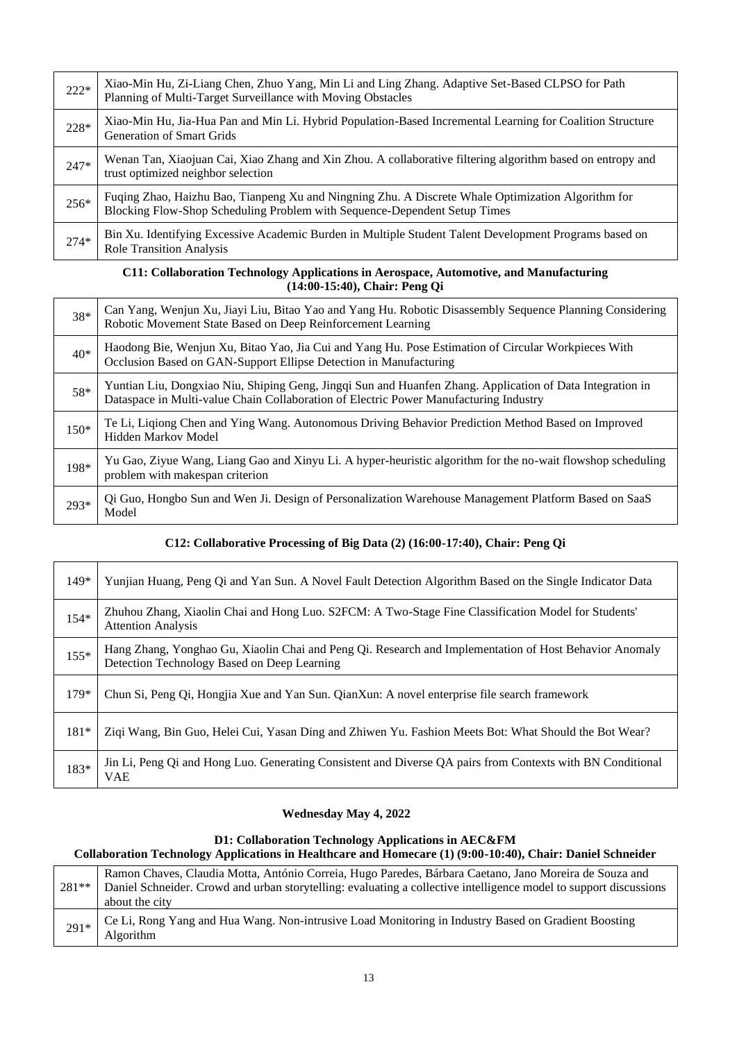| $222*$ | Xiao-Min Hu, Zi-Liang Chen, Zhuo Yang, Min Li and Ling Zhang. Adaptive Set-Based CLPSO for Path<br>Planning of Multi-Target Surveillance with Moving Obstacles                  |
|--------|---------------------------------------------------------------------------------------------------------------------------------------------------------------------------------|
| 228*   | Xiao-Min Hu, Jia-Hua Pan and Min Li. Hybrid Population-Based Incremental Learning for Coalition Structure<br><b>Generation of Smart Grids</b>                                   |
| $247*$ | Wenan Tan, Xiaojuan Cai, Xiao Zhang and Xin Zhou. A collaborative filtering algorithm based on entropy and<br>trust optimized neighbor selection                                |
| $256*$ | Fuqing Zhao, Haizhu Bao, Tianpeng Xu and Ningning Zhu. A Discrete Whale Optimization Algorithm for<br>Blocking Flow-Shop Scheduling Problem with Sequence-Dependent Setup Times |
| $274*$ | Bin Xu. Identifying Excessive Academic Burden in Multiple Student Talent Development Programs based on<br><b>Role Transition Analysis</b>                                       |

#### **C11: Collaboration Technology Applications in Aerospace, Automotive, and Manufacturing (14:00-15:40), Chair: Peng Qi**

| 38*    | Can Yang, Wenjun Xu, Jiayi Liu, Bitao Yao and Yang Hu. Robotic Disassembly Sequence Planning Considering<br>Robotic Movement State Based on Deep Reinforcement Learning                            |
|--------|----------------------------------------------------------------------------------------------------------------------------------------------------------------------------------------------------|
| $40*$  | Haodong Bie, Wenjun Xu, Bitao Yao, Jia Cui and Yang Hu. Pose Estimation of Circular Workpieces With<br>Occlusion Based on GAN-Support Ellipse Detection in Manufacturing                           |
| 58*    | Yuntian Liu, Dongxiao Niu, Shiping Geng, Jingqi Sun and Huanfen Zhang. Application of Data Integration in<br>Dataspace in Multi-value Chain Collaboration of Electric Power Manufacturing Industry |
| $150*$ | Te Li, Liqiong Chen and Ying Wang. Autonomous Driving Behavior Prediction Method Based on Improved<br>Hidden Markov Model                                                                          |
| 198*   | Yu Gao, Ziyue Wang, Liang Gao and Xinyu Li. A hyper-heuristic algorithm for the no-wait flowshop scheduling<br>problem with makespan criterion                                                     |
| 293*   | Qi Guo, Hongbo Sun and Wen Ji. Design of Personalization Warehouse Management Platform Based on SaaS<br>Model                                                                                      |

### **C12: Collaborative Processing of Big Data (2) (16:00-17:40), Chair: Peng Qi**

| $149*$ | Yunjian Huang, Peng Qi and Yan Sun. A Novel Fault Detection Algorithm Based on the Single Indicator Data                                              |
|--------|-------------------------------------------------------------------------------------------------------------------------------------------------------|
| $154*$ | Zhuhou Zhang, Xiaolin Chai and Hong Luo. S2FCM: A Two-Stage Fine Classification Model for Students'<br><b>Attention Analysis</b>                      |
| $155*$ | Hang Zhang, Yonghao Gu, Xiaolin Chai and Peng Qi. Research and Implementation of Host Behavior Anomaly<br>Detection Technology Based on Deep Learning |
| $179*$ | Chun Si, Peng Qi, Hongjia Xue and Yan Sun. QianXun: A novel enterprise file search framework                                                          |
| $181*$ | Ziqi Wang, Bin Guo, Helei Cui, Yasan Ding and Zhiwen Yu. Fashion Meets Bot: What Should the Bot Wear?                                                 |
| 183*   | Jin Li, Peng Qi and Hong Luo. Generating Consistent and Diverse QA pairs from Contexts with BN Conditional<br>VAE                                     |

#### **Wednesday May 4, 2022**

#### **D1: Collaboration Technology Applications in AEC&FM Collaboration Technology Applications in Healthcare and Homecare (1) (9:00-10:40), Chair: Daniel Schneider**

| $281**$ | Ramon Chaves, Claudia Motta, António Correia, Hugo Paredes, Bárbara Caetano, Jano Moreira de Souza and<br>Daniel Schneider. Crowd and urban storytelling: evaluating a collective intelligence model to support discussions<br>about the city |
|---------|-----------------------------------------------------------------------------------------------------------------------------------------------------------------------------------------------------------------------------------------------|
| $291*$  | Ce Li, Rong Yang and Hua Wang. Non-intrusive Load Monitoring in Industry Based on Gradient Boosting<br>Algorithm                                                                                                                              |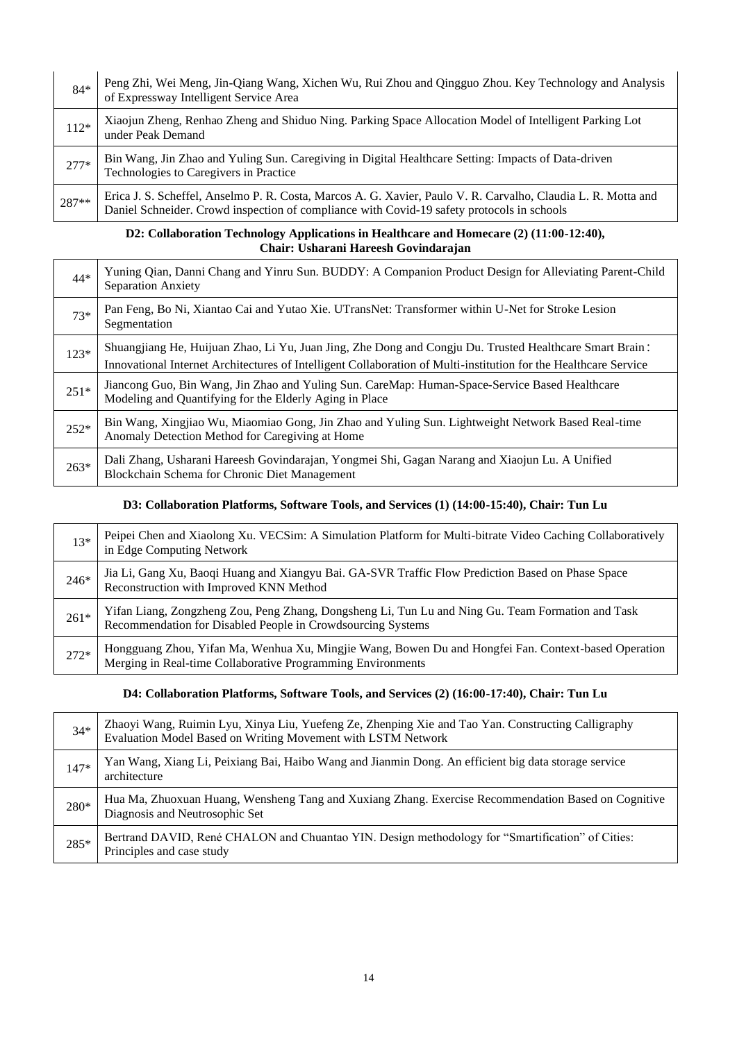| $84*$  | Peng Zhi, Wei Meng, Jin-Qiang Wang, Xichen Wu, Rui Zhou and Qingguo Zhou. Key Technology and Analysis<br>of Expressway Intelligent Service Area                                                             |
|--------|-------------------------------------------------------------------------------------------------------------------------------------------------------------------------------------------------------------|
| $112*$ | Xiaojun Zheng, Renhao Zheng and Shiduo Ning. Parking Space Allocation Model of Intelligent Parking Lot<br>under Peak Demand                                                                                 |
| $277*$ | Bin Wang, Jin Zhao and Yuling Sun. Caregiving in Digital Healthcare Setting: Impacts of Data-driven<br>Technologies to Caregivers in Practice                                                               |
| 287**  | Erica J. S. Scheffel, Anselmo P. R. Costa, Marcos A. G. Xavier, Paulo V. R. Carvalho, Claudia L. R. Motta and<br>Daniel Schneider. Crowd inspection of compliance with Covid-19 safety protocols in schools |

#### **D2: Collaboration Technology Applications in Healthcare and Homecare (2) (11:00-12:40), Chair: Usharani Hareesh Govindarajan**

| $44*$  | Yuning Qian, Danni Chang and Yinru Sun. BUDDY: A Companion Product Design for Alleviating Parent-Child<br><b>Separation Anxiety</b>                                                                                         |
|--------|-----------------------------------------------------------------------------------------------------------------------------------------------------------------------------------------------------------------------------|
| $73*$  | Pan Feng, Bo Ni, Xiantao Cai and Yutao Xie. UTransNet: Transformer within U-Net for Stroke Lesion<br>Segmentation                                                                                                           |
| $123*$ | Shuangjiang He, Huijuan Zhao, Li Yu, Juan Jing, Zhe Dong and Congju Du. Trusted Healthcare Smart Brain:<br>Innovational Internet Architectures of Intelligent Collaboration of Multi-institution for the Healthcare Service |
| $251*$ | Jiancong Guo, Bin Wang, Jin Zhao and Yuling Sun. CareMap: Human-Space-Service Based Healthcare<br>Modeling and Quantifying for the Elderly Aging in Place                                                                   |
| $252*$ | Bin Wang, Xingjiao Wu, Miaomiao Gong, Jin Zhao and Yuling Sun. Lightweight Network Based Real-time<br>Anomaly Detection Method for Caregiving at Home                                                                       |
| $263*$ | Dali Zhang, Usharani Hareesh Govindarajan, Yongmei Shi, Gagan Narang and Xiaojun Lu. A Unified<br>Blockchain Schema for Chronic Diet Management                                                                             |

### **D3: Collaboration Platforms, Software Tools, and Services (1) (14:00-15:40), Chair: Tun Lu**

| $13*$  | Peipei Chen and Xiaolong Xu. VECSim: A Simulation Platform for Multi-bitrate Video Caching Collaboratively<br>in Edge Computing Network                             |
|--------|---------------------------------------------------------------------------------------------------------------------------------------------------------------------|
| $246*$ | Jia Li, Gang Xu, Baoqi Huang and Xiangyu Bai. GA-SVR Traffic Flow Prediction Based on Phase Space<br>Reconstruction with Improved KNN Method                        |
| $261*$ | Yifan Liang, Zongzheng Zou, Peng Zhang, Dongsheng Li, Tun Lu and Ning Gu. Team Formation and Task<br>Recommendation for Disabled People in Crowdsourcing Systems    |
| $272*$ | Hongguang Zhou, Yifan Ma, Wenhua Xu, Mingjie Wang, Bowen Du and Hongfei Fan. Context-based Operation<br>Merging in Real-time Collaborative Programming Environments |

#### **D4: Collaboration Platforms, Software Tools, and Services (2) (16:00-17:40), Chair: Tun Lu**

| $34*$  | Zhaoyi Wang, Ruimin Lyu, Xinya Liu, Yuefeng Ze, Zhenping Xie and Tao Yan. Constructing Calligraphy Evaluation Model Based on Writing Movement with LSTM Network |
|--------|-----------------------------------------------------------------------------------------------------------------------------------------------------------------|
| $147*$ | Yan Wang, Xiang Li, Peixiang Bai, Haibo Wang and Jianmin Dong. An efficient big data storage service<br>architecture                                            |
|        |                                                                                                                                                                 |
| 280*   | Hua Ma, Zhuoxuan Huang, Wensheng Tang and Xuxiang Zhang. Exercise Recommendation Based on Cognitive<br>Diagnosis and Neutrosophic Set                           |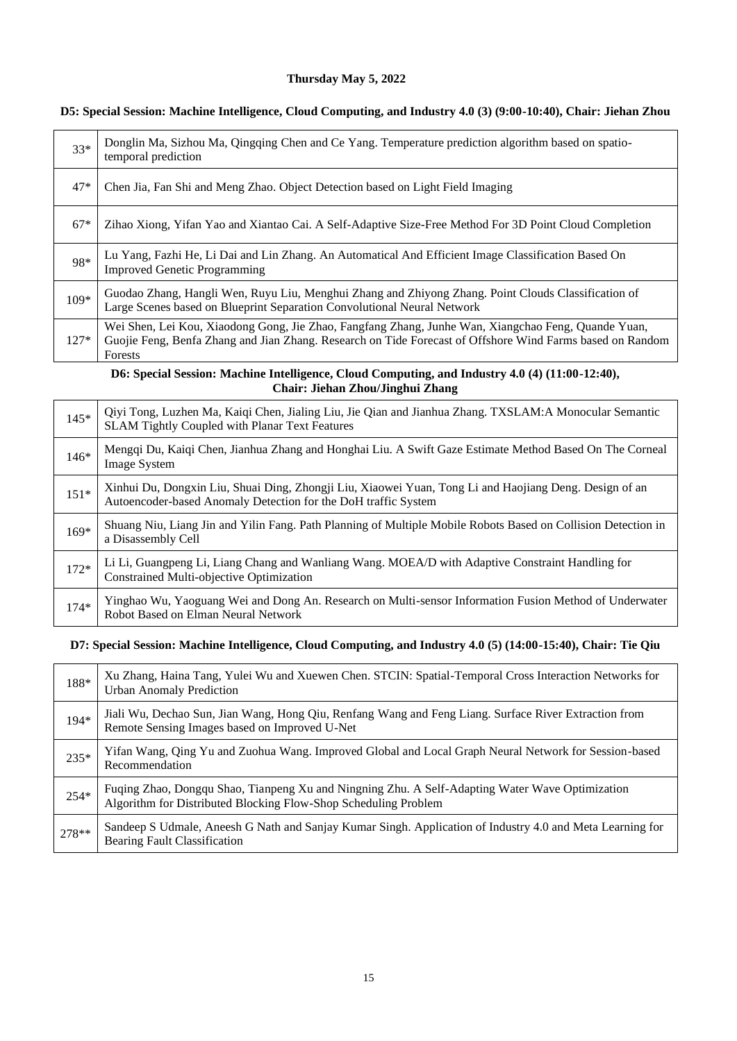## **Thursday May 5, 2022**

| $33*$  | Donglin Ma, Sizhou Ma, Qingqing Chen and Ce Yang. Temperature prediction algorithm based on spatio-<br>temporal prediction                                                                                                  |
|--------|-----------------------------------------------------------------------------------------------------------------------------------------------------------------------------------------------------------------------------|
| $47*$  | Chen Jia, Fan Shi and Meng Zhao. Object Detection based on Light Field Imaging                                                                                                                                              |
| $67*$  | Zihao Xiong, Yifan Yao and Xiantao Cai. A Self-Adaptive Size-Free Method For 3D Point Cloud Completion                                                                                                                      |
| 98*    | Lu Yang, Fazhi He, Li Dai and Lin Zhang. An Automatical And Efficient Image Classification Based On<br><b>Improved Genetic Programming</b>                                                                                  |
| 109*   | Guodao Zhang, Hangli Wen, Ruyu Liu, Menghui Zhang and Zhiyong Zhang. Point Clouds Classification of<br>Large Scenes based on Blueprint Separation Convolutional Neural Network                                              |
| $127*$ | Wei Shen, Lei Kou, Xiaodong Gong, Jie Zhao, Fangfang Zhang, Junhe Wan, Xiangchao Feng, Quande Yuan,<br>Guojie Feng, Benfa Zhang and Jian Zhang. Research on Tide Forecast of Offshore Wind Farms based on Random<br>Forests |

## **D5: Special Session: Machine Intelligence, Cloud Computing, and Industry 4.0 (3) (9:00-10:40), Chair: Jiehan Zhou**

#### **D6: Special Session: Machine Intelligence, Cloud Computing, and Industry 4.0 (4) (11:00-12:40), Chair: Jiehan Zhou/Jinghui Zhang**

| $145*$ | Qiyi Tong, Luzhen Ma, Kaiqi Chen, Jialing Liu, Jie Qian and Jianhua Zhang. TXSLAM:A Monocular Semantic<br>SLAM Tightly Coupled with Planar Text Features                 |
|--------|--------------------------------------------------------------------------------------------------------------------------------------------------------------------------|
| $146*$ | Mengqi Du, Kaiqi Chen, Jianhua Zhang and Honghai Liu. A Swift Gaze Estimate Method Based On The Corneal<br><b>Image System</b>                                           |
| $151*$ | Xinhui Du, Dongxin Liu, Shuai Ding, Zhongji Liu, Xiaowei Yuan, Tong Li and Haojiang Deng. Design of an<br>Autoencoder-based Anomaly Detection for the DoH traffic System |
| $169*$ | Shuang Niu, Liang Jin and Yilin Fang. Path Planning of Multiple Mobile Robots Based on Collision Detection in<br>a Disassembly Cell                                      |
| $172*$ | Li Li, Guangpeng Li, Liang Chang and Wanliang Wang. MOEA/D with Adaptive Constraint Handling for<br>Constrained Multi-objective Optimization                             |
| $174*$ | Yinghao Wu, Yaoguang Wei and Dong An. Research on Multi-sensor Information Fusion Method of Underwater<br>Robot Based on Elman Neural Network                            |

#### **D7: Special Session: Machine Intelligence, Cloud Computing, and Industry 4.0 (5) (14:00-15:40), Chair: Tie Qiu**

| 188*   | Xu Zhang, Haina Tang, Yulei Wu and Xuewen Chen. STCIN: Spatial-Temporal Cross Interaction Networks for<br><b>Urban Anomaly Prediction</b>                          |
|--------|--------------------------------------------------------------------------------------------------------------------------------------------------------------------|
| 194*   | Jiali Wu, Dechao Sun, Jian Wang, Hong Qiu, Renfang Wang and Feng Liang. Surface River Extraction from<br>Remote Sensing Images based on Improved U-Net             |
| $235*$ | Yifan Wang, Qing Yu and Zuohua Wang. Improved Global and Local Graph Neural Network for Session-based<br>Recommendation                                            |
| $254*$ | Fuqing Zhao, Dongqu Shao, Tianpeng Xu and Ningning Zhu. A Self-Adapting Water Wave Optimization<br>Algorithm for Distributed Blocking Flow-Shop Scheduling Problem |
| 278**  | Sandeep S Udmale, Aneesh G Nath and Sanjay Kumar Singh. Application of Industry 4.0 and Meta Learning for<br><b>Bearing Fault Classification</b>                   |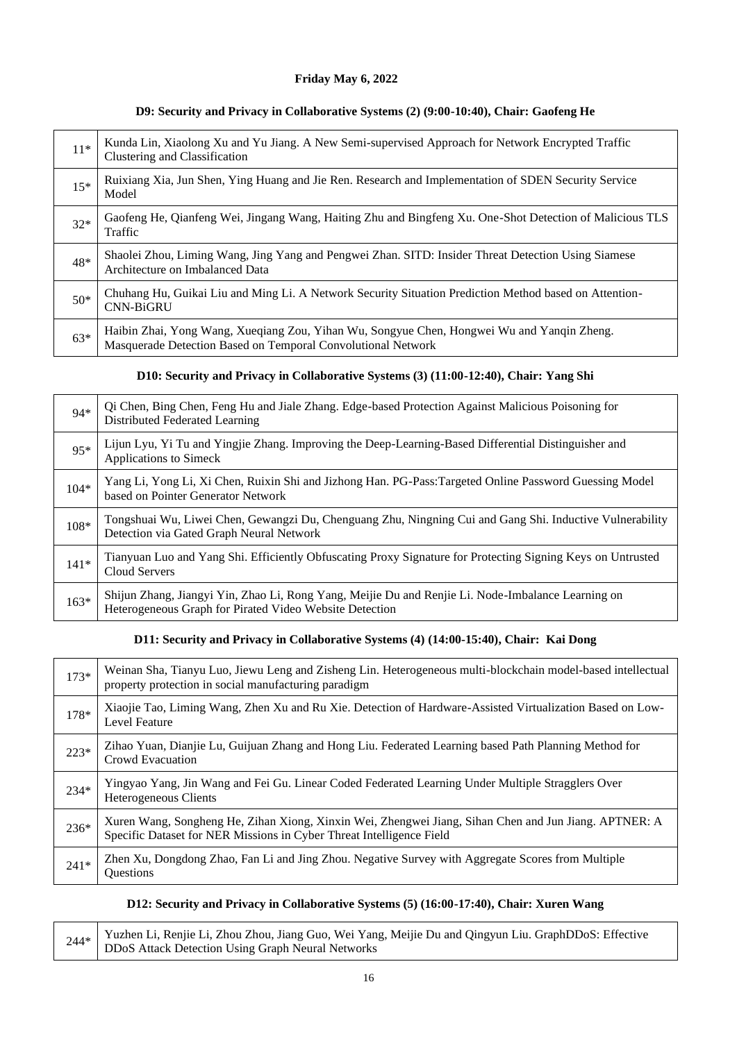## **Friday May 6, 2022**

#### **D9: Security and Privacy in Collaborative Systems (2) (9:00-10:40), Chair: Gaofeng He**

| $11*$ | Kunda Lin, Xiaolong Xu and Yu Jiang. A New Semi-supervised Approach for Network Encrypted Traffic<br>Clustering and Classification                         |
|-------|------------------------------------------------------------------------------------------------------------------------------------------------------------|
| $15*$ | Ruixiang Xia, Jun Shen, Ying Huang and Jie Ren. Research and Implementation of SDEN Security Service<br>Model                                              |
| $32*$ | Gaofeng He, Qianfeng Wei, Jingang Wang, Haiting Zhu and Bingfeng Xu. One-Shot Detection of Malicious TLS<br>Traffic                                        |
| 48*   | Shaolei Zhou, Liming Wang, Jing Yang and Pengwei Zhan. SITD: Insider Threat Detection Using Siamese<br>Architecture on Imbalanced Data                     |
| $50*$ | Chuhang Hu, Guikai Liu and Ming Li. A Network Security Situation Prediction Method based on Attention-<br><b>CNN-BiGRU</b>                                 |
| $63*$ | Haibin Zhai, Yong Wang, Xueqiang Zou, Yihan Wu, Songyue Chen, Hongwei Wu and Yanqin Zheng.<br>Masquerade Detection Based on Temporal Convolutional Network |

## **D10: Security and Privacy in Collaborative Systems (3) (11:00-12:40), Chair: Yang Shi**

| $94*$  | Qi Chen, Bing Chen, Feng Hu and Jiale Zhang. Edge-based Protection Against Malicious Poisoning for<br>Distributed Federated Learning                          |
|--------|---------------------------------------------------------------------------------------------------------------------------------------------------------------|
| $95*$  | Lijun Lyu, Yi Tu and Yingjie Zhang. Improving the Deep-Learning-Based Differential Distinguisher and<br>Applications to Simeck                                |
| $104*$ | Yang Li, Yong Li, Xi Chen, Ruixin Shi and Jizhong Han. PG-Pass: Targeted Online Password Guessing Model<br>based on Pointer Generator Network                 |
| 108*   | Tongshuai Wu, Liwei Chen, Gewangzi Du, Chenguang Zhu, Ningning Cui and Gang Shi. Inductive Vulnerability<br>Detection via Gated Graph Neural Network          |
| $141*$ | Tianyuan Luo and Yang Shi. Efficiently Obfuscating Proxy Signature for Protecting Signing Keys on Untrusted<br>Cloud Servers                                  |
| $163*$ | Shijun Zhang, Jiangyi Yin, Zhao Li, Rong Yang, Meijie Du and Renjie Li. Node-Imbalance Learning on<br>Heterogeneous Graph for Pirated Video Website Detection |

### **D11: Security and Privacy in Collaborative Systems (4) (14:00-15:40), Chair: Kai Dong**

| $173*$ | Weinan Sha, Tianyu Luo, Jiewu Leng and Zisheng Lin. Heterogeneous multi-blockchain model-based intellectual<br>property protection in social manufacturing paradigm           |
|--------|-------------------------------------------------------------------------------------------------------------------------------------------------------------------------------|
| 178*   | Xiaojie Tao, Liming Wang, Zhen Xu and Ru Xie. Detection of Hardware-Assisted Virtualization Based on Low-<br><b>Level Feature</b>                                             |
| $223*$ | Zihao Yuan, Dianjie Lu, Guijuan Zhang and Hong Liu. Federated Learning based Path Planning Method for<br>Crowd Evacuation                                                     |
| $234*$ | Yingyao Yang, Jin Wang and Fei Gu. Linear Coded Federated Learning Under Multiple Stragglers Over<br>Heterogeneous Clients                                                    |
| 236*   | Xuren Wang, Songheng He, Zihan Xiong, Xinxin Wei, Zhengwei Jiang, Sihan Chen and Jun Jiang. APTNER: A<br>Specific Dataset for NER Missions in Cyber Threat Intelligence Field |
| $241*$ | Zhen Xu, Dongdong Zhao, Fan Li and Jing Zhou. Negative Survey with Aggregate Scores from Multiple<br><b>Ouestions</b>                                                         |

## **D12: Security and Privacy in Collaborative Systems (5) (16:00-17:40), Chair: Xuren Wang**

|  | 244* Yuzhen Li, Renjie Li, Zhou Zhou, Jiang Guo, Wei Yang, Meijie Du and Qingyun Liu. GraphDDoS: Effective |
|--|------------------------------------------------------------------------------------------------------------|
|  | DDoS Attack Detection Using Graph Neural Networks                                                          |